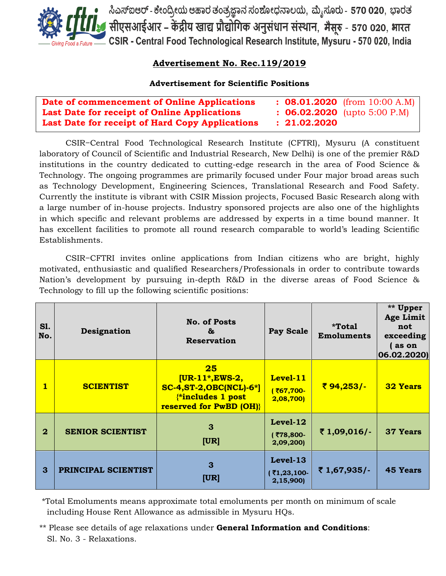

• ಸಿಎಸ್ಐಆರ್ - ಕೇಂದ್ರೀಯ ಆಹಾರ ತಂತ್ರಜ್ಞಾನ ಸಂಶೋಧನಾಲಯ, ಮೈಸೂರು - 570 020, ಭಾರತ<br>• सीएसआईआर – केंद्रीय खाद्य प्रौद्योगिक अनुसंधान संस्थान, मैसूरु - 570 020, भारत CSIR - Central Food Technological Research Institute, Mysuru - 570 020, India

# **Advertisement No. Rec.119/2019**

## **Advertisement for Scientific Positions**

| Date of commencement of Online Applications         | $\therefore$ 08.01.2020 (from 10:00 A.M) |
|-----------------------------------------------------|------------------------------------------|
| <b>Last Date for receipt of Online Applications</b> | $\therefore$ 06.02.2020 (upto 5:00 P.M)  |
| Last Date for receipt of Hard Copy Applications     | : 21.02.2020                             |

CSIR−Central Food Technological Research Institute (CFTRI), Mysuru (A constituent laboratory of Council of Scientific and Industrial Research, New Delhi) is one of the premier R&D institutions in the country dedicated to cutting-edge research in the area of Food Science & Technology. The ongoing programmes are primarily focused under Four major broad areas such as Technology Development, Engineering Sciences, Translational Research and Food Safety. Currently the institute is vibrant with CSIR Mission projects, Focused Basic Research along with a large number of in-house projects. Industry sponsored projects are also one of the highlights in which specific and relevant problems are addressed by experts in a time bound manner. It has excellent facilities to promote all round research comparable to world"s leading Scientific Establishments.

CSIR−CFTRI invites online applications from Indian citizens who are bright, highly motivated, enthusiastic and qualified Researchers/Professionals in order to contribute towards Nation's development by pursuing in-depth R&D in the diverse areas of Food Science & Technology to fill up the following scientific positions:

| <b>S1.</b><br>No. | Designation             | <b>No. of Posts</b><br>ö.<br><b>Reservation</b>                                                                                | <b>Pay Scale</b>                     | *Total<br><b>Emoluments</b> | ** Upper<br>Age Limit<br>not<br>exceeding<br>as on<br> 06.02.2020 |
|-------------------|-------------------------|--------------------------------------------------------------------------------------------------------------------------------|--------------------------------------|-----------------------------|-------------------------------------------------------------------|
| 1                 | <b>SCIENTIST</b>        | 25<br>$[UR-11*, EWS-2]$<br><b>SC-4, ST-2, OBC(NCL)-6*]</b><br><b><i>{*includes 1 post</i></b><br><b>reserved for PwBD (OH)</b> | Level-11<br>(₹67,700-<br>2,08,700    | ₹94,253/-                   | <b>32 Years</b>                                                   |
| $\overline{2}$    | <b>SENIOR SCIENTIST</b> | 3<br> UR                                                                                                                       | $Level-12$<br>(₹78,800-<br>2,09,200) | ₹1,09,016/-                 | <b>37 Years</b>                                                   |
| $\mathbf{3}$      | PRINCIPAL SCIENTIST     | 3<br> UR                                                                                                                       | Level-13<br>₹1,23,100-<br>2,15,900)  | ₹ 1,67,935/-                | <b>45 Years</b>                                                   |

\*Total Emoluments means approximate total emoluments per month on minimum of scale including House Rent Allowance as admissible in Mysuru HQs.

\*\* Please see details of age relaxations under **General Information and Conditions**: Sl. No. 3 - Relaxations.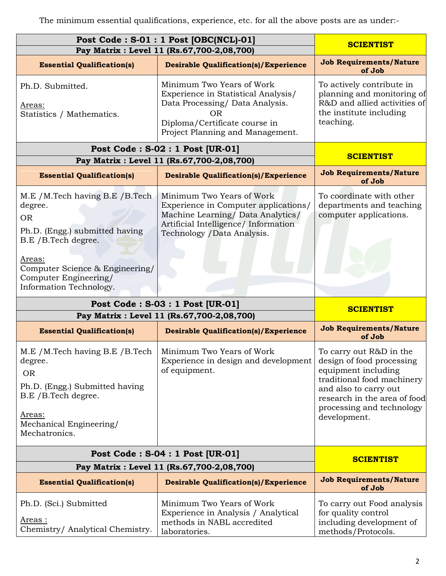The minimum essential qualifications, experience, etc. for all the above posts are as under:-

| Post Code: S-01: 1 Post [OBC(NCL)-01]<br>Pay Matrix : Level 11 (Rs.67,700-2,08,700)                                                                                                                                                                           | <b>SCIENTIST</b>                                                                                                                                                              |                                                                                                                                                                                                                 |  |
|---------------------------------------------------------------------------------------------------------------------------------------------------------------------------------------------------------------------------------------------------------------|-------------------------------------------------------------------------------------------------------------------------------------------------------------------------------|-----------------------------------------------------------------------------------------------------------------------------------------------------------------------------------------------------------------|--|
| <b>Essential Qualification(s)</b>                                                                                                                                                                                                                             | <b>Desirable Qualification(s)/Experience</b>                                                                                                                                  | <b>Job Requirements/Nature</b><br>of Job                                                                                                                                                                        |  |
| Minimum Two Years of Work<br>Ph.D. Submitted.<br>Experience in Statistical Analysis/<br>Data Processing/ Data Analysis.<br><u>Areas:</u><br><b>OR</b><br>Statistics / Mathematics.<br>Diploma/Certificate course in<br>Project Planning and Management.       |                                                                                                                                                                               | To actively contribute in<br>planning and monitoring of<br>R&D and allied activities of<br>the institute including<br>teaching.                                                                                 |  |
|                                                                                                                                                                                                                                                               | Post Code: S-02: 1 Post [UR-01]<br>Pay Matrix : Level 11 (Rs.67,700-2,08,700)                                                                                                 | <b>SCIENTIST</b>                                                                                                                                                                                                |  |
| <b>Essential Qualification(s)</b>                                                                                                                                                                                                                             | <b>Desirable Qualification(s)/Experience</b>                                                                                                                                  | <b>Job Requirements/Nature</b>                                                                                                                                                                                  |  |
| M.E / M.Tech having B.E / B.Tech<br>degree.<br><b>OR</b><br>Ph.D. (Engg.) submitted having<br>B.E / B.Tech degree.<br>Areas:<br>Computer Science & Engineering/<br>Computer Engineering/<br>Information Technology.                                           | Minimum Two Years of Work<br>Experience in Computer applications/<br>Machine Learning/ Data Analytics/<br>Artificial Intelligence/ Information<br>Technology / Data Analysis. | of Job<br>To coordinate with other<br>departments and teaching<br>computer applications.                                                                                                                        |  |
| Post Code: S-03: 1 Post [UR-01]                                                                                                                                                                                                                               | <b>SCIENTIST</b>                                                                                                                                                              |                                                                                                                                                                                                                 |  |
|                                                                                                                                                                                                                                                               | Pay Matrix : Level 11 (Rs.67,700-2,08,700)                                                                                                                                    |                                                                                                                                                                                                                 |  |
| <b>Essential Qualification(s)</b>                                                                                                                                                                                                                             | <b>Desirable Qualification(s)/Experience</b>                                                                                                                                  | <b>Job Requirements/Nature</b><br>of Job                                                                                                                                                                        |  |
| Minimum Two Years of Work<br>M.E /M.Tech having B.E /B.Tech<br>Experience in design and development<br>degree.<br>of equipment.<br><b>OR</b><br>Ph.D. (Engg.) Submitted having<br>B.E / B. Tech degree.<br>Areas:<br>Mechanical Engineering/<br>Mechatronics. |                                                                                                                                                                               | To carry out R&D in the<br>design of food processing<br>equipment including<br>traditional food machinery<br>and also to carry out<br>research in the area of food<br>processing and technology<br>development. |  |
| Post Code: S-04: 1 Post [UR-01]                                                                                                                                                                                                                               | <b>SCIENTIST</b>                                                                                                                                                              |                                                                                                                                                                                                                 |  |
| Pay Matrix : Level 11 (Rs.67,700-2,08,700)                                                                                                                                                                                                                    |                                                                                                                                                                               |                                                                                                                                                                                                                 |  |
| <b>Essential Qualification(s)</b>                                                                                                                                                                                                                             | <b>Desirable Qualification(s)/Experience</b>                                                                                                                                  | <b>Job Requirements/Nature</b><br>of Job                                                                                                                                                                        |  |
| Ph.D. (Sci.) Submitted<br>Areas :<br>Chemistry/ Analytical Chemistry.                                                                                                                                                                                         | Minimum Two Years of Work<br>Experience in Analysis / Analytical<br>methods in NABL accredited<br>laboratories.                                                               | To carry out Food analysis<br>for quality control<br>including development of<br>methods/Protocols.                                                                                                             |  |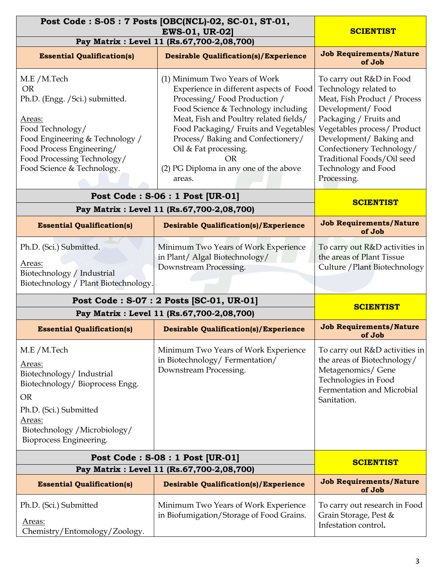| Post Code: S-05: 7 Posts [OBC(NCL)-02, SC-01, ST-01,                                                                                                                                                                                                                                                        | <b>SCIENTIST</b>                                                                                                                                                                                                                                                                                                                                                                                                                                                                                                                                                                                                                                                                           |                                                                                                                                                          |
|-------------------------------------------------------------------------------------------------------------------------------------------------------------------------------------------------------------------------------------------------------------------------------------------------------------|--------------------------------------------------------------------------------------------------------------------------------------------------------------------------------------------------------------------------------------------------------------------------------------------------------------------------------------------------------------------------------------------------------------------------------------------------------------------------------------------------------------------------------------------------------------------------------------------------------------------------------------------------------------------------------------------|----------------------------------------------------------------------------------------------------------------------------------------------------------|
| Pay Matrix : Level 11 (Rs.67,700-2,08,700)                                                                                                                                                                                                                                                                  |                                                                                                                                                                                                                                                                                                                                                                                                                                                                                                                                                                                                                                                                                            |                                                                                                                                                          |
| <b>Essential Qualification(s)</b>                                                                                                                                                                                                                                                                           | <b>Desirable Qualification(s)/Experience</b>                                                                                                                                                                                                                                                                                                                                                                                                                                                                                                                                                                                                                                               | <b>Job Requirements/Nature</b><br>of Job                                                                                                                 |
| M.E / M.Tech<br><b>OR</b><br>Ph.D. (Engg. / Sci.) submitted.<br>Areas:<br>Food Technology/<br>Food Engineering & Technology /<br>Food Process Engineering/<br>Food Processing Technology/<br>Food Science & Technology.                                                                                     | (1) Minimum Two Years of Work<br>To carry out R&D in Food<br>Technology related to<br>Experience in different aspects of Food<br>Processing/Food Production /<br>Meat, Fish Product / Process<br>Food Science & Technology including<br>Development/Food<br>Meat, Fish and Poultry related fields/<br>Packaging / Fruits and<br>Food Packaging/Fruits and Vegetables<br>Vegetables process/ Product<br>Process/ Baking and Confectionery/<br>Development/Baking and<br>Oil & Fat processing.<br>Confectionery Technology/<br>Traditional Foods/Oil seed<br>OR<br>Technology and Food<br>(2) PG Diploma in any one of the above<br>Processing.<br>areas.<br>Post Code: S-06: 1 Post [UR-01] |                                                                                                                                                          |
|                                                                                                                                                                                                                                                                                                             | Pay Matrix : Level 11 (Rs.67,700-2,08,700)                                                                                                                                                                                                                                                                                                                                                                                                                                                                                                                                                                                                                                                 | <b>SCIENTIST</b>                                                                                                                                         |
| <b>Essential Qualification(s)</b>                                                                                                                                                                                                                                                                           | <b>Desirable Qualification(s)/Experience</b>                                                                                                                                                                                                                                                                                                                                                                                                                                                                                                                                                                                                                                               | <b>Job Requirements/Nature</b><br>of Job                                                                                                                 |
| Ph.D. (Sci.) Submitted.<br>Minimum Two Years of Work Experience<br>in Plant/ Algal Biotechnology/<br>Areas:<br>Downstream Processing.<br>Biotechnology / Industrial<br>Biotechnology / Plant Biotechnology.                                                                                                 |                                                                                                                                                                                                                                                                                                                                                                                                                                                                                                                                                                                                                                                                                            | To carry out R&D activities in<br>the areas of Plant Tissue<br>Culture / Plant Biotechnology                                                             |
| Post Code: S-07: 2 Posts [SC-01, UR-01]                                                                                                                                                                                                                                                                     | <b>SCIENTIST</b>                                                                                                                                                                                                                                                                                                                                                                                                                                                                                                                                                                                                                                                                           |                                                                                                                                                          |
|                                                                                                                                                                                                                                                                                                             | Pay Matrix : Level 11 (Rs.67,700-2,08,700)                                                                                                                                                                                                                                                                                                                                                                                                                                                                                                                                                                                                                                                 |                                                                                                                                                          |
| <b>Essential Qualification(s)</b>                                                                                                                                                                                                                                                                           | <b>Desirable Qualification(s)/Experience</b>                                                                                                                                                                                                                                                                                                                                                                                                                                                                                                                                                                                                                                               | <b>Job Requirements/Nature</b><br>of Job                                                                                                                 |
| M.E /M.Tech<br>Minimum Two Years of Work Experience<br>in Biotechnology/Fermentation/<br><u>Areas:</u><br>Downstream Processing.<br>Biotechnology/Industrial<br>Biotechnology/Bioprocess Engg.<br><b>OR</b><br>Ph.D. (Sci.) Submitted<br>Areas:<br>Biotechnology / Microbiology/<br>Bioprocess Engineering. |                                                                                                                                                                                                                                                                                                                                                                                                                                                                                                                                                                                                                                                                                            | To carry out R&D activities in<br>the areas of Biotechnology/<br>Metagenomics/ Gene<br>Technologies in Food<br>Fermentation and Microbial<br>Sanitation. |
| Post Code: S-08: 1 Post [UR-01]<br>Pay Matrix : Level 11 (Rs.67,700-2,08,700)                                                                                                                                                                                                                               | <b>SCIENTIST</b>                                                                                                                                                                                                                                                                                                                                                                                                                                                                                                                                                                                                                                                                           |                                                                                                                                                          |
| <b>Essential Qualification(s)</b>                                                                                                                                                                                                                                                                           | <b>Desirable Qualification(s)/Experience</b>                                                                                                                                                                                                                                                                                                                                                                                                                                                                                                                                                                                                                                               | <b>Job Requirements/Nature</b><br>of Job                                                                                                                 |
| Ph.D. (Sci.) Submitted<br>Areas:<br>Chemistry/Entomology/Zoology.                                                                                                                                                                                                                                           | Minimum Two Years of Work Experience<br>in Biofumigation/Storage of Food Grains.                                                                                                                                                                                                                                                                                                                                                                                                                                                                                                                                                                                                           | To carry out research in Food<br>Grain Storage, Pest &<br>Infestation control.                                                                           |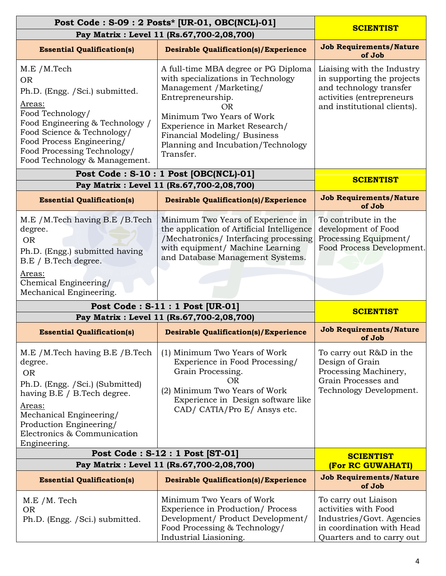| Post Code: S-09: 2 Posts* [UR-01, OBC(NCL)-01]                                                                                                                                                                                                                                                                                                                                                                                                  | <b>SCIENTIST</b>                                                                                                                                                                                                                                                                  |                                                                                                                                                 |
|-------------------------------------------------------------------------------------------------------------------------------------------------------------------------------------------------------------------------------------------------------------------------------------------------------------------------------------------------------------------------------------------------------------------------------------------------|-----------------------------------------------------------------------------------------------------------------------------------------------------------------------------------------------------------------------------------------------------------------------------------|-------------------------------------------------------------------------------------------------------------------------------------------------|
| Pay Matrix : Level 11 (Rs.67,700-2,08,700)                                                                                                                                                                                                                                                                                                                                                                                                      |                                                                                                                                                                                                                                                                                   |                                                                                                                                                 |
| <b>Essential Qualification(s)</b>                                                                                                                                                                                                                                                                                                                                                                                                               | <b>Desirable Qualification(s)/Experience</b>                                                                                                                                                                                                                                      | <b>Job Requirements/Nature</b><br>of Job                                                                                                        |
| M.E /M.Tech<br><b>OR</b><br>Ph.D. (Engg. / Sci.) submitted.<br>Areas:<br>Food Technology/<br>Food Engineering & Technology /<br>Food Science & Technology/<br>Food Process Engineering/<br>Food Processing Technology/<br>Food Technology & Management.                                                                                                                                                                                         | A full-time MBA degree or PG Diploma<br>with specializations in Technology<br>Management /Marketing/<br>Entrepreneurship.<br>OR<br>Minimum Two Years of Work<br>Experience in Market Research/<br>Financial Modeling/ Business<br>Planning and Incubation/Technology<br>Transfer. | Liaising with the Industry<br>in supporting the projects<br>and technology transfer<br>activities (entrepreneurs<br>and institutional clients). |
|                                                                                                                                                                                                                                                                                                                                                                                                                                                 | Post Code: S-10: 1 Post [OBC(NCL)-01]                                                                                                                                                                                                                                             | <b>SCIENTIST</b>                                                                                                                                |
|                                                                                                                                                                                                                                                                                                                                                                                                                                                 | Pay Matrix : Level 11 (Rs.67,700-2,08,700)                                                                                                                                                                                                                                        |                                                                                                                                                 |
| <b>Essential Qualification(s)</b>                                                                                                                                                                                                                                                                                                                                                                                                               | <b>Desirable Qualification(s)/Experience</b>                                                                                                                                                                                                                                      | <b>Job Requirements/Nature</b><br>of Job                                                                                                        |
| M.E / M.Tech having B.E / B.Tech<br>degree.<br><b>OR</b><br>Ph.D. (Engg.) submitted having<br>B.E / B.Tech degree.<br>Areas:                                                                                                                                                                                                                                                                                                                    | Minimum Two Years of Experience in<br>the application of Artificial Intelligence<br>/Mechatronics/ Interfacing processing<br>with equipment/ Machine Learning<br>and Database Management Systems.                                                                                 |                                                                                                                                                 |
| Chemical Engineering/<br>Mechanical Engineering.                                                                                                                                                                                                                                                                                                                                                                                                |                                                                                                                                                                                                                                                                                   |                                                                                                                                                 |
| Post Code: S-11: 1 Post [UR-01]<br>Pay Matrix : Level 11 (Rs.67,700-2,08,700)                                                                                                                                                                                                                                                                                                                                                                   | <b>SCIENTIST</b>                                                                                                                                                                                                                                                                  |                                                                                                                                                 |
| <b>Essential Qualification(s)</b>                                                                                                                                                                                                                                                                                                                                                                                                               | <b>Desirable Qualification(s)/Experience</b>                                                                                                                                                                                                                                      | <b>Job Requirements/Nature</b><br>of Job                                                                                                        |
| M.E / M.Tech having B.E / B.Tech<br>(1) Minimum Two Years of Work<br>Experience in Food Processing/<br>degree.<br>Grain Processing.<br><b>OR</b><br>OR<br>Ph.D. (Engg. / Sci.) (Submitted)<br>(2) Minimum Two Years of Work<br>having B.E / B.Tech degree.<br>Experience in Design software like<br>Areas:<br>CAD/ CATIA/Pro E/ Ansys etc.<br>Mechanical Engineering/<br>Production Engineering/<br>Electronics & Communication<br>Engineering. |                                                                                                                                                                                                                                                                                   | To carry out R&D in the<br>Design of Grain<br>Processing Machinery,<br>Grain Processes and<br>Technology Development.                           |
| Post Code: S-12: 1 Post [ST-01]                                                                                                                                                                                                                                                                                                                                                                                                                 |                                                                                                                                                                                                                                                                                   | <b>SCIENTIST</b>                                                                                                                                |
| Pay Matrix : Level 11 (Rs.67,700-2,08,700)                                                                                                                                                                                                                                                                                                                                                                                                      | (For RC GUWAHATI)                                                                                                                                                                                                                                                                 |                                                                                                                                                 |
| <b>Essential Qualification(s)</b>                                                                                                                                                                                                                                                                                                                                                                                                               | <b>Desirable Qualification(s)/Experience</b>                                                                                                                                                                                                                                      | <b>Job Requirements/Nature</b><br>of Job                                                                                                        |
| $M.E/M.$ Tech<br><b>OR</b><br>Ph.D. (Engg. / Sci.) submitted.                                                                                                                                                                                                                                                                                                                                                                                   | Minimum Two Years of Work<br>Experience in Production/Process<br>Development/ Product Development/<br>Food Processing & Technology/<br>Industrial Liasioning.                                                                                                                     | To carry out Liaison<br>activities with Food<br>Industries/Govt. Agencies<br>in coordination with Head<br>Quarters and to carry out             |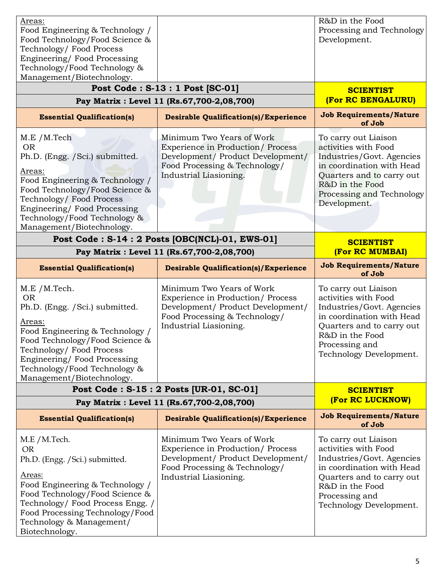| Areas:<br>Food Engineering & Technology /<br>Food Technology/Food Science &<br>Technology/Food Process<br>Engineering/Food Processing<br>Technology/Food Technology &<br>Management/Biotechnology.                                                                 |                                                                                                                                                                       | R&D in the Food<br>Processing and Technology<br>Development.                                                                                                                                        |
|--------------------------------------------------------------------------------------------------------------------------------------------------------------------------------------------------------------------------------------------------------------------|-----------------------------------------------------------------------------------------------------------------------------------------------------------------------|-----------------------------------------------------------------------------------------------------------------------------------------------------------------------------------------------------|
|                                                                                                                                                                                                                                                                    | Post Code: S-13: 1 Post [SC-01]<br>Pay Matrix : Level 11 (Rs.67,700-2,08,700)                                                                                         | <b>SCIENTIST</b><br>(For RC BENGALURU)                                                                                                                                                              |
| <b>Essential Qualification(s)</b>                                                                                                                                                                                                                                  | <b>Desirable Qualification(s)/Experience</b>                                                                                                                          | <b>Job Requirements/Nature</b><br>of Job                                                                                                                                                            |
| M.E /M.Tech<br><b>OR</b><br>Ph.D. (Engg. / Sci.) submitted.<br>Areas:<br>Food Engineering & Technology /<br>Food Technology/Food Science &<br>Technology/Food Process<br>Engineering/Food Processing<br>Technology/Food Technology &<br>Management/Biotechnology.  | Minimum Two Years of Work<br><b>Experience in Production/ Process</b><br>Development/ Product Development/<br>Food Processing & Technology/<br>Industrial Liasioning. | To carry out Liaison<br>activities with Food<br>Industries/Govt. Agencies<br>in coordination with Head<br>Quarters and to carry out<br>R&D in the Food<br>Processing and Technology<br>Development. |
|                                                                                                                                                                                                                                                                    | Post Code: S-14: 2 Posts [OBC(NCL)-01, EWS-01]<br>Pay Matrix : Level 11 (Rs.67,700-2,08,700)                                                                          | <b>SCIENTIST</b><br>(For RC MUMBAI)                                                                                                                                                                 |
| <b>Essential Qualification(s)</b>                                                                                                                                                                                                                                  | <b>Desirable Qualification(s)/Experience</b>                                                                                                                          | <b>Job Requirements/Nature</b><br>of Job                                                                                                                                                            |
| M.E /M.Tech.<br><b>OR</b><br>Ph.D. (Engg. / Sci.) submitted.<br>Areas:<br>Food Engineering & Technology /<br>Food Technology/Food Science &<br>Technology/Food Process<br>Engineering/Food Processing<br>Technology/Food Technology &<br>Management/Biotechnology. | Minimum Two Years of Work<br>Experience in Production/Process<br>Development/ Product Development/<br>Food Processing & Technology/<br>Industrial Liasioning.         | To carry out Liaison<br>activities with Food<br>Industries/Govt. Agencies<br>in coordination with Head<br>Quarters and to carry out<br>R&D in the Food<br>Processing and<br>Technology Development. |
|                                                                                                                                                                                                                                                                    | Post Code: S-15: 2 Posts [UR-01, SC-01]                                                                                                                               | <b>SCIENTIST</b><br>(For RC LUCKNOW)                                                                                                                                                                |
|                                                                                                                                                                                                                                                                    | Pay Matrix : Level 11 (Rs.67,700-2,08,700)<br><b>Desirable Qualification(s)/Experience</b>                                                                            | <b>Job Requirements/Nature</b>                                                                                                                                                                      |
| <b>Essential Qualification(s)</b>                                                                                                                                                                                                                                  |                                                                                                                                                                       | of Job                                                                                                                                                                                              |
| M.E /M.Tech.<br><b>OR</b><br>Ph.D. (Engg. / Sci.) submitted.<br>Areas:<br>Food Engineering & Technology /<br>Food Technology/Food Science &<br>Technology/Food Process Engg. /<br>Food Processing Technology/Food<br>Technology & Management/                      | Minimum Two Years of Work<br>Experience in Production/Process<br>Development/ Product Development/<br>Food Processing & Technology/<br>Industrial Liasioning.         | To carry out Liaison<br>activities with Food<br>Industries/Govt. Agencies<br>in coordination with Head<br>Quarters and to carry out<br>R&D in the Food<br>Processing and<br>Technology Development. |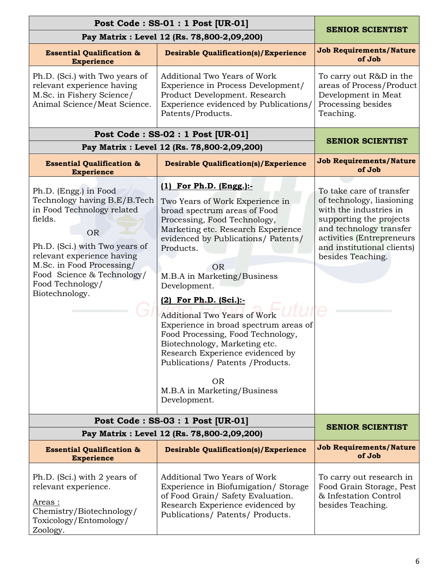| Post Code: SS-01: 1 Post [UR-01]                                                                                                                                                                                                                                             | <b>SENIOR SCIENTIST</b>                                                                                                                                                                                                                                                                                                                                                                                                                                                                                                                                                                           |                                                                                                                                                                                                                       |
|------------------------------------------------------------------------------------------------------------------------------------------------------------------------------------------------------------------------------------------------------------------------------|---------------------------------------------------------------------------------------------------------------------------------------------------------------------------------------------------------------------------------------------------------------------------------------------------------------------------------------------------------------------------------------------------------------------------------------------------------------------------------------------------------------------------------------------------------------------------------------------------|-----------------------------------------------------------------------------------------------------------------------------------------------------------------------------------------------------------------------|
| Pay Matrix : Level 12 (Rs. 78,800-2,09,200)                                                                                                                                                                                                                                  |                                                                                                                                                                                                                                                                                                                                                                                                                                                                                                                                                                                                   |                                                                                                                                                                                                                       |
| <b>Essential Qualification &amp;</b><br><b>Experience</b>                                                                                                                                                                                                                    | <b>Desirable Qualification(s)/Experience</b>                                                                                                                                                                                                                                                                                                                                                                                                                                                                                                                                                      | <b>Job Requirements/Nature</b><br>of Job                                                                                                                                                                              |
| Ph.D. (Sci.) with Two years of<br>relevant experience having<br>M.Sc. in Fishery Science/<br>Animal Science/Meat Science.                                                                                                                                                    | Additional Two Years of Work<br>Experience in Process Development/<br>Product Development. Research<br>Experience evidenced by Publications/<br>Patents/Products.                                                                                                                                                                                                                                                                                                                                                                                                                                 | To carry out R&D in the<br>areas of Process/Product<br>Development in Meat<br>Processing besides<br>Teaching.                                                                                                         |
|                                                                                                                                                                                                                                                                              | Post Code: SS-02: 1 Post [UR-01]                                                                                                                                                                                                                                                                                                                                                                                                                                                                                                                                                                  | <b>SENIOR SCIENTIST</b>                                                                                                                                                                                               |
|                                                                                                                                                                                                                                                                              | Pay Matrix : Level 12 (Rs. 78,800-2,09,200)                                                                                                                                                                                                                                                                                                                                                                                                                                                                                                                                                       |                                                                                                                                                                                                                       |
| <b>Essential Qualification &amp;</b><br><b>Experience</b>                                                                                                                                                                                                                    | <b>Desirable Qualification(s)/Experience</b>                                                                                                                                                                                                                                                                                                                                                                                                                                                                                                                                                      | <b>Job Requirements/Nature</b><br>of Job                                                                                                                                                                              |
| Ph.D. (Engg.) in Food<br>Technology having B.E/B.Tech<br>in Food Technology related<br>fields.<br><b>OR</b><br>Ph.D. (Sci.) with Two years of<br>relevant experience having<br>M.Sc. in Food Processing/<br>Food Science & Technology/<br>Food Technology/<br>Biotechnology. | $(1)$ For Ph.D. $(Engg.):$<br>Two Years of Work Experience in<br>broad spectrum areas of Food<br>Processing, Food Technology,<br>Marketing etc. Research Experience<br>evidenced by Publications/ Patents/<br>Products.<br><b>OR</b><br>M.B.A in Marketing/Business<br>Development.<br>(2) For Ph.D. (Sci.):-<br><b>Additional Two Years of Work</b><br>Experience in broad spectrum areas of<br>Food Processing, Food Technology,<br>Biotechnology, Marketing etc.<br>Research Experience evidenced by<br>Publications/ Patents / Products.<br>OR<br>M.B.A in Marketing/Business<br>Development. | To take care of transfer<br>of technology, liasioning<br>with the industries in<br>supporting the projects<br>and technology transfer<br>activities (Entrepreneurs<br>and institutional clients)<br>besides Teaching. |
|                                                                                                                                                                                                                                                                              | Post Code: SS-03: 1 Post [UR-01]<br>Pay Matrix : Level 12 (Rs. 78,800-2,09,200)                                                                                                                                                                                                                                                                                                                                                                                                                                                                                                                   | <b>SENIOR SCIENTIST</b>                                                                                                                                                                                               |
| <b>Essential Qualification &amp;</b><br><b>Experience</b>                                                                                                                                                                                                                    | <b>Desirable Qualification(s)/Experience</b>                                                                                                                                                                                                                                                                                                                                                                                                                                                                                                                                                      | <b>Job Requirements/Nature</b><br>of Job                                                                                                                                                                              |
| Ph.D. (Sci.) with 2 years of<br>relevant experience.<br>Areas :<br>Chemistry/Biotechnology/<br>Toxicology/Entomology/<br>Zoology.                                                                                                                                            | Additional Two Years of Work<br>Experience in Biofumigation/Storage<br>of Food Grain/ Safety Evaluation.<br>Research Experience evidenced by<br>Publications/ Patents/ Products.                                                                                                                                                                                                                                                                                                                                                                                                                  | To carry out research in<br>Food Grain Storage, Pest<br>& Infestation Control<br>besides Teaching.                                                                                                                    |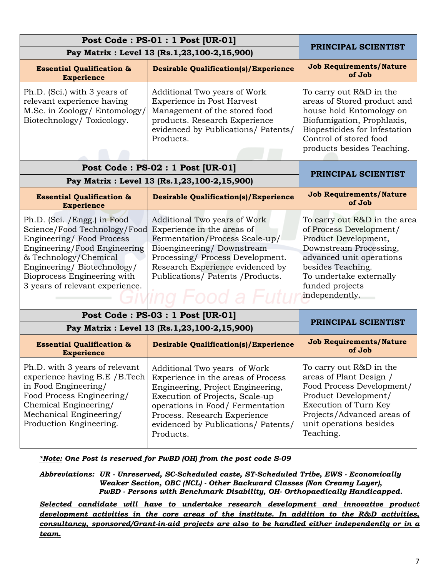| Post Code: PS-01: 1 Post [UR-01]                                                                                                                                                                                                                                                                                                                                                                                                                                                           |                                                                                                                                                                                                                                                                    |                                                                                                                                                                                                                            |  |
|--------------------------------------------------------------------------------------------------------------------------------------------------------------------------------------------------------------------------------------------------------------------------------------------------------------------------------------------------------------------------------------------------------------------------------------------------------------------------------------------|--------------------------------------------------------------------------------------------------------------------------------------------------------------------------------------------------------------------------------------------------------------------|----------------------------------------------------------------------------------------------------------------------------------------------------------------------------------------------------------------------------|--|
|                                                                                                                                                                                                                                                                                                                                                                                                                                                                                            | Pay Matrix : Level 13 (Rs.1,23,100-2,15,900)                                                                                                                                                                                                                       | PRINCIPAL SCIENTIST                                                                                                                                                                                                        |  |
| <b>Essential Qualification &amp;</b><br><b>Experience</b>                                                                                                                                                                                                                                                                                                                                                                                                                                  | <b>Desirable Qualification(s)/Experience</b>                                                                                                                                                                                                                       |                                                                                                                                                                                                                            |  |
| Ph.D. (Sci.) with 3 years of<br>relevant experience having<br>M.Sc. in Zoology/ Entomology/<br>Biotechnology/Toxicology.                                                                                                                                                                                                                                                                                                                                                                   | Additional Two years of Work<br>Experience in Post Harvest<br>Management of the stored food<br>products. Research Experience<br>evidenced by Publications/ Patents/<br>Products.                                                                                   | To carry out R&D in the<br>areas of Stored product and<br>house hold Entomology on<br>Biofumigation, Prophlaxis,<br>Biopesticides for Infestation<br>Control of stored food<br>products besides Teaching.                  |  |
|                                                                                                                                                                                                                                                                                                                                                                                                                                                                                            | Post Code: PS-02: 1 Post [UR-01]                                                                                                                                                                                                                                   | PRINCIPAL SCIENTIST                                                                                                                                                                                                        |  |
|                                                                                                                                                                                                                                                                                                                                                                                                                                                                                            | Pay Matrix : Level 13 (Rs.1,23,100-2,15,900)                                                                                                                                                                                                                       |                                                                                                                                                                                                                            |  |
| <b>Essential Qualification &amp;</b><br><b>Experience</b>                                                                                                                                                                                                                                                                                                                                                                                                                                  | <b>Desirable Qualification(s)/Experience</b>                                                                                                                                                                                                                       | <b>Job Requirements/Nature</b><br>of Job                                                                                                                                                                                   |  |
| Ph.D. (Sci. / Engg.) in Food<br>Additional Two years of Work<br>Science/Food Technology/Food<br>Experience in the areas of<br>Engineering/Food Process<br>Fermentation/Process Scale-up/<br>Bioengineering/Downstream<br>Engineering/Food Engineering<br>& Technology/Chemical<br>Processing/Process Development.<br>Engineering/Biotechnology/<br>Research Experience evidenced by<br>Bioprocess Engineering with<br>Publications/ Patents / Products.<br>3 years of relevant experience. |                                                                                                                                                                                                                                                                    | To carry out R&D in the area<br>of Process Development/<br>Product Development,<br>Downstream Processing,<br>advanced unit operations<br>besides Teaching.<br>To undertake externally<br>funded projects<br>independently. |  |
|                                                                                                                                                                                                                                                                                                                                                                                                                                                                                            | Post Code: PS-03: 1 Post [UR-01]                                                                                                                                                                                                                                   | PRINCIPAL SCIENTIST                                                                                                                                                                                                        |  |
|                                                                                                                                                                                                                                                                                                                                                                                                                                                                                            | Pay Matrix : Level 13 (Rs.1,23,100-2,15,900)                                                                                                                                                                                                                       |                                                                                                                                                                                                                            |  |
| <b>Essential Qualification &amp;</b><br><b>Experience</b>                                                                                                                                                                                                                                                                                                                                                                                                                                  | <b>Desirable Qualification(s)/Experience</b>                                                                                                                                                                                                                       | <b>Job Requirements/Nature</b><br>of Job                                                                                                                                                                                   |  |
| Ph.D. with 3 years of relevant<br>experience having B.E / B.Tech<br>in Food Engineering/<br>Food Process Engineering/<br>Chemical Engineering/<br>Mechanical Engineering/<br>Production Engineering.                                                                                                                                                                                                                                                                                       | Additional Two years of Work<br>Experience in the areas of Process<br>Engineering, Project Engineering,<br>Execution of Projects, Scale-up<br>operations in Food/ Fermentation<br>Process. Research Experience<br>evidenced by Publications/ Patents/<br>Products. | To carry out R&D in the<br>areas of Plant Design /<br>Food Process Development/<br>Product Development/<br>Execution of Turn Key<br>Projects/Advanced areas of<br>unit operations besides<br>Teaching.                     |  |

*\*Note: One Post is reserved for PwBD (OH) from the post code S-09*

*Abbreviations: UR - Unreserved, SC-Scheduled caste, ST-Scheduled Tribe, EWS - Economically Weaker Section, OBC (NCL) - Other Backward Classes (Non Creamy Layer), PwBD - Persons with Benchmark Disability, OH- Orthopaedically Handicapped.*

*Selected candidate will have to undertake research development and innovative product development activities in the core areas of the institute. In addition to the R&D activities, consultancy, sponsored/Grant-in-aid projects are also to be handled either independently or in a team.*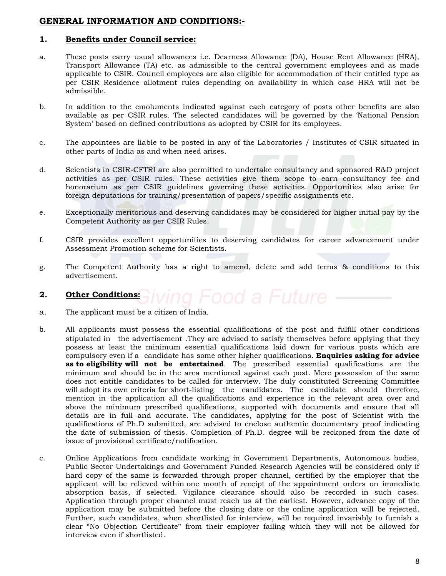## **GENERAL INFORMATION AND CONDITIONS:-**

## **1. Benefits under Council service:**

- a. These posts carry usual allowances i.e. Dearness Allowance (DA), House Rent Allowance (HRA), Transport Allowance (TA) etc. as admissible to the central government employees and as made applicable to CSIR. Council employees are also eligible for accommodation of their entitled type as per CSIR Residence allotment rules depending on availability in which case HRA will not be admissible.
- b. In addition to the emoluments indicated against each category of posts other benefits are also available as per CSIR rules. The selected candidates will be governed by the "National Pension System" based on defined contributions as adopted by CSIR for its employees.
- c. The appointees are liable to be posted in any of the Laboratories / Institutes of CSIR situated in other parts of India as and when need arises.
- d. Scientists in CSIR-CFTRI are also permitted to undertake consultancy and sponsored R&D project activities as per CSIR rules. These activities give them scope to earn consultancy fee and honorarium as per CSIR guidelines governing these activities. Opportunities also arise for foreign deputations for training/presentation of papers/specific assignments etc.
- e. Exceptionally meritorious and deserving candidates may be considered for higher initial pay by the Competent Authority as per CSIR Rules.
- f. CSIR provides excellent opportunities to deserving candidates for career advancement under Assessment Promotion scheme for Scientists.
- g. The Competent Authority has a right to amend, delete and add terms & conditions to this advertisement.

### **2. Other Conditions:**

- a. The applicant must be a citizen of India.
- b. All applicants must possess the essential qualifications of the post and fulfill other conditions stipulated in the advertisement .They are advised to satisfy themselves before applying that they possess at least the minimum essential qualifications laid down for various posts which are compulsory even if a candidate has some other higher qualifications. **Enquiries asking for advice as to eligibility will not be entertained**. The prescribed essential qualifications are the minimum and should be in the area mentioned against each post. Mere possession of the same does not entitle candidates to be called for interview. The duly constituted Screening Committee will adopt its own criteria for short-listing the candidates. The candidate should therefore, mention in the application all the qualifications and experience in the relevant area over and above the minimum prescribed qualifications, supported with documents and ensure that all details are in full and accurate. The candidates, applying for the post of Scientist with the qualifications of Ph.D submitted, are advised to enclose authentic documentary proof indicating the date of submission of thesis. Completion of Ph.D. degree will be reckoned from the date of issue of provisional certificate/notification.
- c. Online Applications from candidate working in Government Departments, Autonomous bodies, Public Sector Undertakings and Government Funded Research Agencies will be considered only if hard copy of the same is forwarded through proper channel, certified by the employer that the applicant will be relieved within one month of receipt of the appointment orders on immediate absorption basis, if selected. Vigilance clearance should also be recorded in such cases. Application through proper channel must reach us at the earliest. However, advance copy of the application may be submitted before the closing date or the online application will be rejected. Further, such candidates, when shortlisted for interview, will be required invariably to furnish a clear "No Objection Certificate" from their employer failing which they will not be allowed for interview even if shortlisted.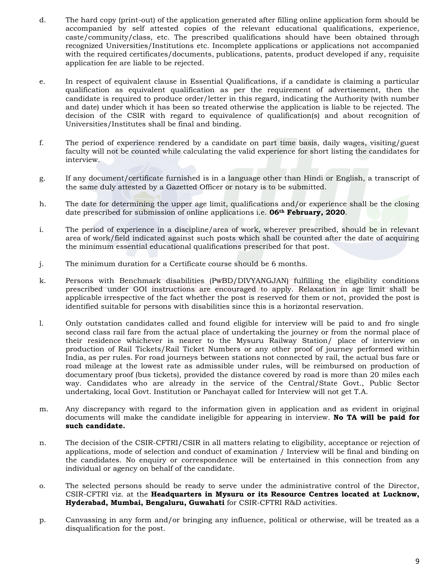- d. The hard copy (print-out) of the application generated after filling online application form should be accompanied by self attested copies of the relevant educational qualifications, experience, caste/community/class, etc. The prescribed qualifications should have been obtained through recognized Universities/Institutions etc. Incomplete applications or applications not accompanied with the required certificates/documents, publications, patents, product developed if any, requisite application fee are liable to be rejected.
- e. In respect of equivalent clause in Essential Qualifications, if a candidate is claiming a particular qualification as equivalent qualification as per the requirement of advertisement, then the candidate is required to produce order/letter in this regard, indicating the Authority (with number and date) under which it has been so treated otherwise the application is liable to be rejected. The decision of the CSIR with regard to equivalence of qualification(s) and about recognition of Universities/Institutes shall be final and binding.
- f. The period of experience rendered by a candidate on part time basis, daily wages, visiting/guest faculty will not be counted while calculating the valid experience for short listing the candidates for interview.
- g. If any document/certificate furnished is in a language other than Hindi or English, a transcript of the same duly attested by a Gazetted Officer or notary is to be submitted.
- h. The date for determining the upper age limit, qualifications and/or experience shall be the closing date prescribed for submission of online applications i.e. **06th February, 2020**.
- i. The period of experience in a discipline/area of work, wherever prescribed, should be in relevant area of work/field indicated against such posts which shall be counted after the date of acquiring the minimum essential educational qualifications prescribed for that post.
- j. The minimum duration for a Certificate course should be 6 months.
- k. Persons with Benchmark disabilities (PwBD/DIVYANGJAN) fulfilling the eligibility conditions prescribed under GOI instructions are encouraged to apply. Relaxation in age limit shall be applicable irrespective of the fact whether the post is reserved for them or not, provided the post is identified suitable for persons with disabilities since this is a horizontal reservation.
- l. Only outstation candidates called and found eligible for interview will be paid to and fro single second class rail fare from the actual place of undertaking the journey or from the normal place of their residence whichever is nearer to the Mysuru Railway Station/ place of interview on production of Rail Tickets/Rail Ticket Numbers or any other proof of journey performed within India, as per rules. For road journeys between stations not connected by rail, the actual bus fare or road mileage at the lowest rate as admissible under rules, will be reimbursed on production of documentary proof (bus tickets), provided the distance covered by road is more than 20 miles each way. Candidates who are already in the service of the Central/State Govt., Public Sector undertaking, local Govt. Institution or Panchayat called for Interview will not get T.A.
- m. Any discrepancy with regard to the information given in application and as evident in original documents will make the candidate ineligible for appearing in interview. **No TA will be paid for such candidate.**
- n. The decision of the CSIR-CFTRI/CSIR in all matters relating to eligibility, acceptance or rejection of applications, mode of selection and conduct of examination / Interview will be final and binding on the candidates. No enquiry or correspondence will be entertained in this connection from any individual or agency on behalf of the candidate.
- o. The selected persons should be ready to serve under the administrative control of the Director, CSIR-CFTRI viz. at the **Headquarters in Mysuru or its Resource Centres located at Lucknow, Hyderabad, Mumbai, Bengaluru, Guwahati** for CSIR-CFTRI R&D activities.
- p. Canvassing in any form and/or bringing any influence, political or otherwise, will be treated as a disqualification for the post.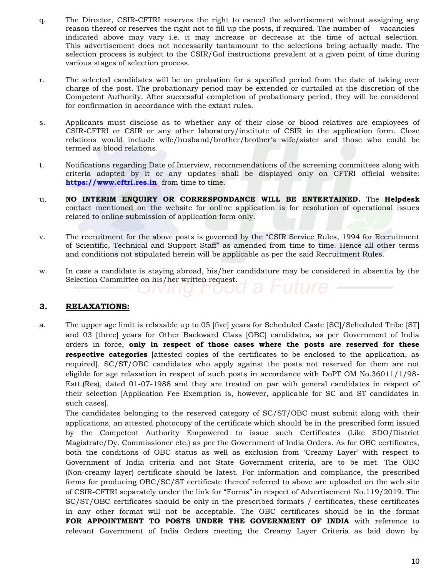- q. The Director, CSIR-CFTRI reserves the right to cancel the advertisement without assigning any reason thereof or reserves the right not to fill up the posts, if required. The number of vacancies indicated above may vary i.e. it may increase or decrease at the time of actual selection. This advertisement does not necessarily tantamount to the selections being actually made. The selection process is subject to the CSIR/GoI instructions prevalent at a given point of time during various stages of selection process.
- r. The selected candidates will be on probation for a specified period from the date of taking over charge of the post. The probationary period may be extended or curtailed at the discretion of the Competent Authority. After successful completion of probationary period, they will be considered for confirmation in accordance with the extant rules.
- s. Applicants must disclose as to whether any of their close or blood relatives are employees of CSIR-CFTRI or CSIR or any other laboratory/institute of CSIR in the application form. Close relations would include wife/husband/brother/brother"s wife/sister and those who could be termed as blood relations.
- t. Notifications regarding Date of Interview, recommendations of the screening committees along with criteria adopted by it or any updates shall be displayed only on CFTRI official website: **[https://www.cftri.res.in](https://www.cftri.res.in/)** from time to time.
- u. **NO INTERIM ENQUIRY OR CORRESPONDANCE WILL BE ENTERTAINED.** The **Helpdesk**  contact mentioned on the website for online application is for resolution of operational issues related to online submission of application form only.
- v. The recruitment for the above posts is governed by the "CSIR Service Rules, 1994 for Recruitment of Scientific, Technical and Support Staff" as amended from time to time. Hence all other terms and conditions not stipulated herein will be applicable as per the said Recruitment Rules.
- w. In case a candidate is staying abroad, his/her candidature may be considered in absentia by the Selection Committee on his/her written request.

### **3. RELAXATIONS:**

a. The upper age limit is relaxable up to 05 [five] years for Scheduled Caste [SC]/Scheduled Tribe [ST] and 03 [three] years for Other Backward Class [OBC] candidates, as per Government of India orders in force, **only in respect of those cases where the posts are reserved for these respective categories** [attested copies of the certificates to be enclosed to the application, as required]. SC/ST/OBC candidates who apply against the posts not reserved for them are not eligible for age relaxation in respect of such posts in accordance with DoPT OM No.36011/1/98- Estt.(Res), dated 01-07-1988 and they are treated on par with general candidates in respect of their selection [Application Fee Exemption is, however, applicable for SC and ST candidates in such cases].

The candidates belonging to the reserved category of SC/ST/OBC must submit along with their applications, an attested photocopy of the certificate which should be in the prescribed form issued by the Competent Authority Empowered to issue such Certificates (Like SDO/District Magistrate/Dy. Commissioner etc.) as per the Government of India Orders. As for OBC certificates, both the conditions of OBC status as well as exclusion from "Creamy Layer" with respect to Government of India criteria and not State Government criteria, are to be met. The OBC (Non-creamy layer) certificate should be latest. For information and compliance, the prescribed forms for producing OBC/SC/ST certificate thereof referred to above are uploaded on the web site of CSIR-CFTRI separately under the link for "Forms" in respect of Advertisement No.119/2019. The SC/ST/OBC certificates should be only in the prescribed formats / certificates, these certificates in any other format will not be acceptable. The OBC certificates should be in the format FOR APPOINTMENT TO POSTS UNDER THE GOVERNMENT OF INDIA with reference to relevant Government of India Orders meeting the Creamy Layer Criteria as laid down by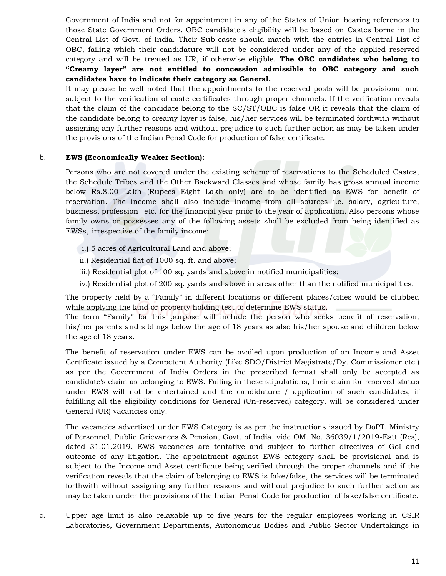Government of India and not for appointment in any of the States of Union bearing references to those State Government Orders. OBC candidate's eligibility will be based on Castes borne in the Central List of Govt. of India. Their Sub-caste should match with the entries in Central List of OBC, failing which their candidature will not be considered under any of the applied reserved category and will be treated as UR, if otherwise eligible. **The OBC candidates who belong to "Creamy layer" are not entitled to concession admissible to OBC category and such candidates have to indicate their category as General.**

It may please be well noted that the appointments to the reserved posts will be provisional and subject to the verification of caste certificates through proper channels. If the verification reveals that the claim of the candidate belong to the SC/ST/OBC is false OR it reveals that the claim of the candidate belong to creamy layer is false, his/her services will be terminated forthwith without assigning any further reasons and without prejudice to such further action as may be taken under the provisions of the Indian Penal Code for production of false certificate.

#### b. **EWS (Economically Weaker Section):**

Persons who are not covered under the existing scheme of reservations to the Scheduled Castes, the Schedule Tribes and the Other Backward Classes and whose family has gross annual income below Rs.8.00 Lakh (Rupees Eight Lakh only) are to be identified as EWS for benefit of reservation. The income shall also include income from all sources i.e. salary, agriculture, business, profession etc. for the financial year prior to the year of application. Also persons whose family owns or possesses any of the following assets shall be excluded from being identified as EWSs, irrespective of the family income:

- i.) 5 acres of Agricultural Land and above;
- ii.) Residential flat of 1000 sq. ft. and above;
- iii.) Residential plot of 100 sq. yards and above in notified municipalities;
- iv.) Residential plot of 200 sq. yards and above in areas other than the notified municipalities.

The property held by a "Family" in different locations or different places/cities would be clubbed while applying the land or property holding test to determine EWS status.

The term "Family" for this purpose will include the person who seeks benefit of reservation, his/her parents and siblings below the age of 18 years as also his/her spouse and children below the age of 18 years.

The benefit of reservation under EWS can be availed upon production of an Income and Asset Certificate issued by a Competent Authority (Like SDO/District Magistrate/Dy. Commissioner etc.) as per the Government of India Orders in the prescribed format shall only be accepted as candidate"s claim as belonging to EWS. Failing in these stipulations, their claim for reserved status under EWS will not be entertained and the candidature / application of such candidates, if fulfilling all the eligibility conditions for General (Un-reserved) category, will be considered under General (UR) vacancies only.

The vacancies advertised under EWS Category is as per the instructions issued by DoPT, Ministry of Personnel, Public Grievances & Pension, Govt. of India, vide OM. No. 36039/1/2019-Estt (Res), dated 31.01.2019. EWS vacancies are tentative and subject to further directives of GoI and outcome of any litigation. The appointment against EWS category shall be provisional and is subject to the Income and Asset certificate being verified through the proper channels and if the verification reveals that the claim of belonging to EWS is fake/false, the services will be terminated forthwith without assigning any further reasons and without prejudice to such further action as may be taken under the provisions of the Indian Penal Code for production of fake/false certificate.

c. Upper age limit is also relaxable up to five years for the regular employees working in CSIR Laboratories, Government Departments, Autonomous Bodies and Public Sector Undertakings in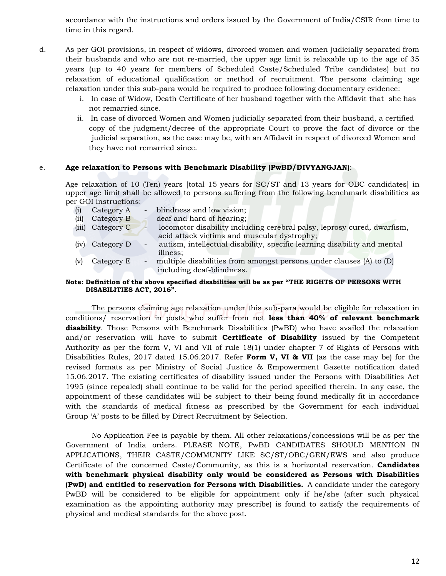accordance with the instructions and orders issued by the Government of India/CSIR from time to time in this regard.

- d. As per GOI provisions, in respect of widows, divorced women and women judicially separated from their husbands and who are not re-married, the upper age limit is relaxable up to the age of 35 years (up to 40 years for members of Scheduled Caste/Scheduled Tribe candidates) but no relaxation of educational qualification or method of recruitment. The persons claiming age relaxation under this sub-para would be required to produce following documentary evidence:
	- i. In case of Widow, Death Certificate of her husband together with the Affidavit that she has not remarried since.
	- ii. In case of divorced Women and Women judicially separated from their husband, a certified copy of the judgment/decree of the appropriate Court to prove the fact of divorce or the judicial separation, as the case may be, with an Affidavit in respect of divorced Women and they have not remarried since.

#### e. **Age relaxation to Persons with Benchmark Disability (PwBD/DIVYANGJAN)**:

Age relaxation of 10 (Ten) years [total 15 years for SC/ST and 13 years for OBC candidates] in upper age limit shall be allowed to persons suffering from the following benchmark disabilities as per GOI instructions:

|      | Category A       | - blindness and low vision;                                              |
|------|------------------|--------------------------------------------------------------------------|
| (ii) | Category B       | deaf and hard of hearing;                                                |
|      | (iii) Category C | locomotor disability including cerebral palsy, leprosy cured, dwarfism,  |
|      |                  | acid attack victims and muscular dystrophy;                              |
| (iv) | Category D       | autism, intellectual disability, specific learning disability and mental |
|      |                  | illness;                                                                 |
| lv!  | Category E       | - multiple disabilities from amongst persons under clauses (A) to (D)    |
|      |                  | including deaf-blindness.                                                |

#### **Note: Definition of the above specified disabilities will be as per "THE RIGHTS OF PERSONS WITH DISABILITIES ACT, 2016".**

The persons claiming age relaxation under this sub-para would be eligible for relaxation in conditions/ reservation in posts who suffer from not **less than 40% of relevant benchmark disability**. Those Persons with Benchmark Disabilities (PwBD) who have availed the relaxation and/or reservation will have to submit **Certificate of Disability** issued by the Competent Authority as per the form V, VI and VII of rule 18(1) under chapter 7 of Rights of Persons with Disabilities Rules, 2017 dated 15.06.2017. Refer **Form V, VI & VII** (as the case may be) for the revised formats as per Ministry of Social Justice & Empowerment Gazette notification dated 15.06.2017. The existing certificates of disability issued under the Persons with Disabilities Act 1995 (since repealed) shall continue to be valid for the period specified therein. In any case, the appointment of these candidates will be subject to their being found medically fit in accordance with the standards of medical fitness as prescribed by the Government for each individual Group 'A' posts to be filled by Direct Recruitment by Selection.

No Application Fee is payable by them. All other relaxations/concessions will be as per the Government of India orders. PLEASE NOTE, PwBD CANDIDATES SHOULD MENTION IN APPLICATIONS, THEIR CASTE/COMMUNITY LIKE SC/ST/OBC/GEN/EWS and also produce Certificate of the concerned Caste/Community, as this is a horizontal reservation. **Candidates with benchmark physical disability only would be considered as Persons with Disabilities (PwD) and entitled to reservation for Persons with Disabilities.** A candidate under the category PwBD will be considered to be eligible for appointment only if he/she (after such physical examination as the appointing authority may prescribe) is found to satisfy the requirements of physical and medical standards for the above post.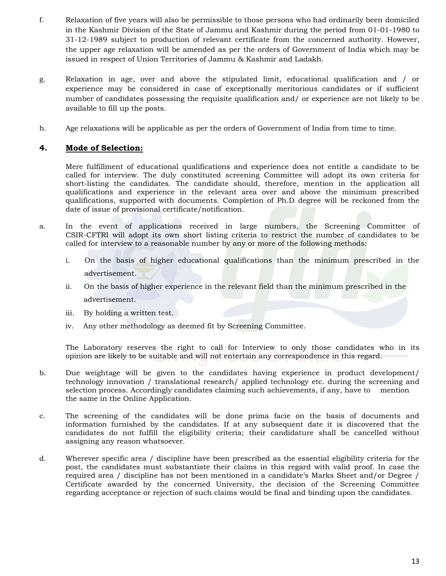- f. Relaxation of five years will also be permissible to those persons who had ordinarily been domiciled in the Kashmir Division of the State of Jammu and Kashmir during the period from 01-01-1980 to 31-12-1989 subject to production of relevant certificate from the concerned authority. However, the upper age relaxation will be amended as per the orders of Government of India which may be issued in respect of Union Territories of Jammu & Kashmir and Ladakh.
- g. Relaxation in age, over and above the stipulated limit, educational qualification and / or experience may be considered in case of exceptionally meritorious candidates or if sufficient number of candidates possessing the requisite qualification and/ or experience are not likely to be available to fill up the posts.
- h. Age relaxations will be applicable as per the orders of Government of India from time to time.

## **4. Mode of Selection:**

Mere fulfillment of educational qualifications and experience does not entitle a candidate to be called for interview. The duly constituted screening Committee will adopt its own criteria for short-listing the candidates. The candidate should, therefore, mention in the application all qualifications and experience in the relevant area over and above the minimum prescribed qualifications, supported with documents. Completion of Ph.D degree will be reckoned from the date of issue of provisional certificate/notification.

- a. In the event of applications received in large numbers, the Screening Committee of CSIR-CFTRI will adopt its own short listing criteria to restrict the number of candidates to be called for interview to a reasonable number by any or more of the following methods:
	- i. On the basis of higher educational qualifications than the minimum prescribed in the advertisement.
	- ii. On the basis of higher experience in the relevant field than the minimum prescribed in the advertisement.
	- iii. By holding a written test.
	- iv. Any other methodology as deemed fit by Screening Committee.

The Laboratory reserves the right to call for Interview to only those candidates who in its opinion are likely to be suitable and will not entertain any correspondence in this regard.

- b. Due weightage will be given to the candidates having experience in product development/ technology innovation / translational research/ applied technology etc. during the screening and selection process. Accordingly candidates claiming such achievements, if any, have to mention the same in the Online Application.
- c. The screening of the candidates will be done prima facie on the basis of documents and information furnished by the candidates. If at any subsequent date it is discovered that the candidates do not fulfill the eligibility criteria; their candidature shall be cancelled without assigning any reason whatsoever.
- d. Wherever specific area / discipline have been prescribed as the essential eligibility criteria for the post, the candidates must substantiate their claims in this regard with valid proof. In case the required area / discipline has not been mentioned in a candidate"s Marks Sheet and/or Degree / Certificate awarded by the concerned University, the decision of the Screening Committee regarding acceptance or rejection of such claims would be final and binding upon the candidates.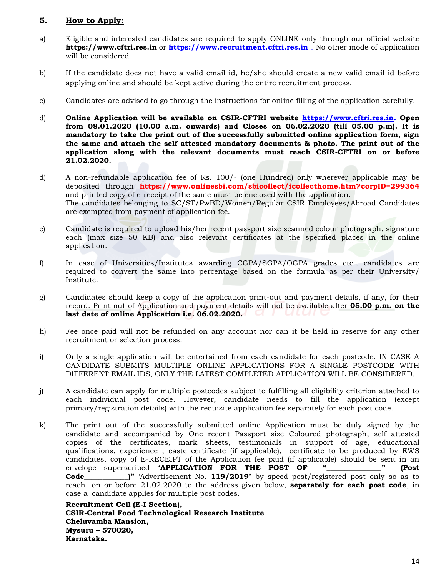### **5. How to Apply:**

- a) Eligible and interested candidates are required to apply ONLINE only through our official website **https://www.cftri.res.in** or **[https://www.recruitment.cftri.res.in](https://www.recruitment.cftri.res.in/)** . No other mode of application will be considered.
- b) If the candidate does not have a valid email id, he/she should create a new valid email id before applying online and should be kept active during the entire recruitment process.
- c) Candidates are advised to go through the instructions for online filling of the application carefully.
- d) **Online Application will be available on CSIR-CFTRI website [https://www.cftri.res.in.](https://www.cftri.res.in/) Open from 08.01.2020 (10.00 a.m. onwards) and Closes on 06.02.2020 (till 05.00 p.m). It is mandatory to take the print out of the successfully submitted online application form, sign the same and attach the self attested mandatory documents & photo. The print out of the application along with the relevant documents must reach CSIR-CFTRI on or before 21.02.2020.**
- d) A non-refundable application fee of Rs. 100/- (one Hundred) only wherever applicable may be deposited through **https://www.onlinesbi.com/sbicollect/icollecthome.htm?corpID=299364** and printed copy of e-receipt of the same must be enclosed with the application. The candidates belonging to SC/ST/PwBD/Women/Regular CSIR Employees/Abroad Candidates are exempted from payment of application fee.
- e) Candidate is required to upload his/her recent passport size scanned colour photograph, signature each (max size 50 KB) and also relevant certificates at the specified places in the online application.
- f) In case of Universities/Institutes awarding CGPA/SGPA/OGPA grades etc., candidates are required to convert the same into percentage based on the formula as per their University/ Institute.
- g) Candidates should keep a copy of the application print-out and payment details, if any, for their record. Print-out of Application and payment details will not be available after **05.00 p.m. on the last date of online Application i.e. 06.02.2020.**
- h) Fee once paid will not be refunded on any account nor can it be held in reserve for any other recruitment or selection process.
- i) Only a single application will be entertained from each candidate for each postcode. IN CASE A CANDIDATE SUBMITS MULTIPLE ONLINE APPLICATIONS FOR A SINGLE POSTCODE WITH DIFFERENT EMAIL IDS, ONLY THE LATEST COMPLETED APPLICATION WILL BE CONSIDERED.
- j) A candidate can apply for multiple postcodes subject to fulfilling all eligibility criterion attached to each individual post code. However, candidate needs to fill the application (except primary/registration details) with the requisite application fee separately for each post code.
- k) The print out of the successfully submitted online Application must be duly signed by the candidate and accompanied by One recent Passport size Coloured photograph, self attested copies of the certificates, mark sheets, testimonials in support of age, educational qualifications, experience , caste certificate (if applicable), certificate to be produced by EWS candidates, copy of E-RECEIPT of the Application fee paid (if applicable) should be sent in an carrelate supercorribed "APPLICATION FOR THE POST OF " envelope superscribed "**APPLICATION FOR THE POST OF "\_\_\_\_\_\_\_\_\_\_\_\_\_\_\_" (Post Code\_\_\_\_\_\_\_\_\_\_\_)"** 'Advertisement No. **119/2019'** by speed post/registered post only so as to reach on or before 21.02.2020 to the address given below, **separately for each post code**, in case a candidate applies for multiple post codes.

**Recruitment Cell (E-I Section), CSIR-Central Food Technological Research Institute Cheluvamba Mansion, Mysuru – 570020, Karnataka.**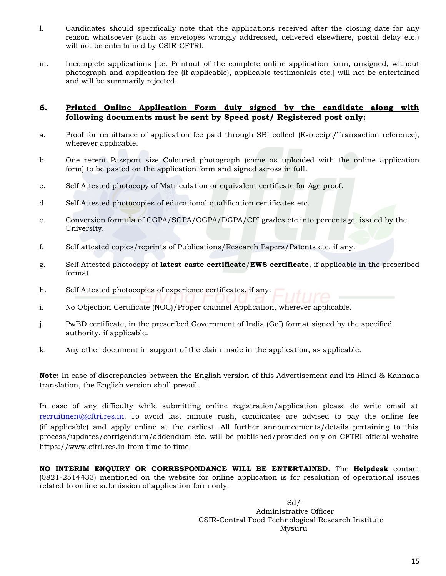- l. Candidates should specifically note that the applications received after the closing date for any reason whatsoever (such as envelopes wrongly addressed, delivered elsewhere, postal delay etc.) will not be entertained by CSIR-CFTRI.
- m. Incomplete applications [i.e. Printout of the complete online application form**,** unsigned, without photograph and application fee (if applicable), applicable testimonials etc.] will not be entertained and will be summarily rejected.

### **6. Printed Online Application Form duly signed by the candidate along with following documents must be sent by Speed post/ Registered post only:**

- a. Proof for remittance of application fee paid through SBI collect (E-receipt/Transaction reference), wherever applicable.
- b. One recent Passport size Coloured photograph (same as uploaded with the online application form) to be pasted on the application form and signed across in full.
- c. Self Attested photocopy of Matriculation or equivalent certificate for Age proof.
- d. Self Attested photocopies of educational qualification certificates etc.
- e. Conversion formula of CGPA/SGPA/OGPA/DGPA/CPI grades etc into percentage, issued by the University.
- f. Self attested copies/reprints of Publications/Research Papers/Patents etc. if any.
- g. Self Attested photocopy of **latest caste certificate**/**EWS certificate**, if applicable in the prescribed format.
- h. Self Attested photocopies of experience certificates, if any.
- i. No Objection Certificate (NOC)/Proper channel Application, wherever applicable.
- j. PwBD certificate, in the prescribed Government of India (GoI) format signed by the specified authority, if applicable.
- k. Any other document in support of the claim made in the application, as applicable.

**Note:** In case of discrepancies between the English version of this Advertisement and its Hindi & Kannada translation, the English version shall prevail.

In case of any difficulty while submitting online registration/application please do write email at [recruitment@cftri.res.in](mailto:recruitment@cftri.res.in). To avoid last minute rush, candidates are advised to pay the online fee (if applicable) and apply online at the earliest. All further announcements/details pertaining to this process/updates/corrigendum/addendum etc. will be published/provided only on CFTRI official website [https://www.cftri.res.in](https://www.cftri.res.in/) from time to time.

**NO INTERIM ENQUIRY OR CORRESPONDANCE WILL BE ENTERTAINED.** The **Helpdesk** contact (0821-2514433) mentioned on the website for online application is for resolution of operational issues related to online submission of application form only.

> $Sd/-$  Administrative Officer CSIR-Central Food Technological Research Institute Mysuru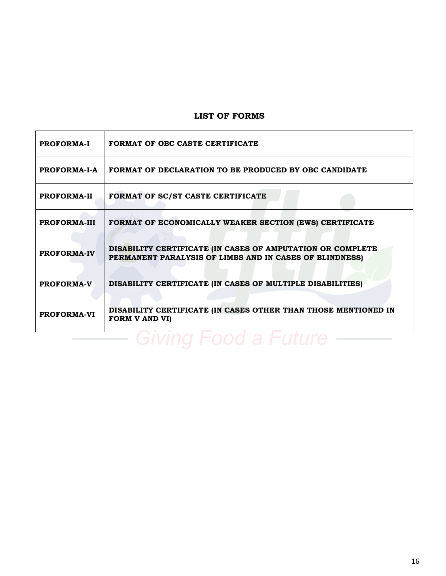# **LIST OF FORMS**

| <b>PROFORMA-I</b>   | FORMAT OF OBC CASTE CERTIFICATE                                                                                       |
|---------------------|-----------------------------------------------------------------------------------------------------------------------|
| PROFORMA-I-A        | FORMAT OF DECLARATION TO BE PRODUCED BY OBC CANDIDATE                                                                 |
| <b>PROFORMA-II</b>  | FORMAT OF SC/ST CASTE CERTIFICATE                                                                                     |
| <b>PROFORMA-III</b> | FORMAT OF ECONOMICALLY WEAKER SECTION (EWS) CERTIFICATE                                                               |
| <b>PROFORMA-IV</b>  | DISABILITY CERTIFICATE (IN CASES OF AMPUTATION OR COMPLETE<br>PERMANENT PARALYSIS OF LIMBS AND IN CASES OF BLINDNESS) |
| <b>PROFORMA-V</b>   | DISABILITY CERTIFICATE (IN CASES OF MULTIPLE DISABILITIES)                                                            |
| <b>PROFORMA-VI</b>  | DISABILITY CERTIFICATE (IN CASES OTHER THAN THOSE MENTIONED IN<br><b>FORM V AND VI)</b>                               |

– Giving Food a Future ——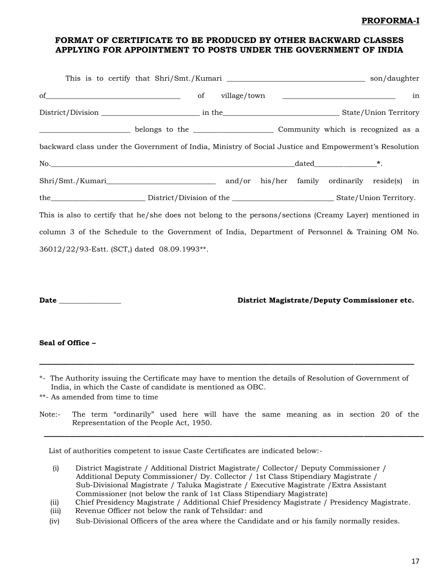### **PROFORMA-I**

## **FORMAT OF CERTIFICATE TO BE PRODUCED BY OTHER BACKWARD CLASSES APPLYING FOR APPOINTMENT TO POSTS UNDER THE GOVERNMENT OF INDIA**

|                                                                                                         |  |  |  | in |
|---------------------------------------------------------------------------------------------------------|--|--|--|----|
|                                                                                                         |  |  |  |    |
|                                                                                                         |  |  |  |    |
| backward class under the Government of India, Ministry of Social Justice and Empowerment's Resolution   |  |  |  |    |
|                                                                                                         |  |  |  |    |
|                                                                                                         |  |  |  |    |
|                                                                                                         |  |  |  |    |
| This is also to certify that he/she does not belong to the persons/sections (Creamy Layer) mentioned in |  |  |  |    |
| column 3 of the Schedule to the Government of India, Department of Personnel & Training OM No.          |  |  |  |    |
| 36012/22/93-Estt. (SCT,) dated 08.09.1993**.                                                            |  |  |  |    |
|                                                                                                         |  |  |  |    |
|                                                                                                         |  |  |  |    |

**Date \_\_\_\_\_\_\_\_\_\_\_\_\_\_\_\_\_ District Magistrate/Deputy Commissioner etc.** 

#### **Seal of Office –**

\*- The Authority issuing the Certificate may have to mention the details of Resolution of Government of India, in which the Caste of candidate is mentioned as OBC.

**\_\_\_\_\_\_\_\_\_\_\_\_\_\_\_\_\_\_\_\_\_\_\_\_\_\_\_\_\_\_\_\_\_\_\_\_\_\_\_\_\_\_\_\_\_\_\_\_\_\_\_\_\_\_\_\_\_\_\_\_\_\_\_\_\_\_\_\_\_\_\_\_\_\_\_\_\_\_\_\_\_\_\_\_\_\_\_\_\_\_\_\_\_\_**

\*\*- As amended from time to time

Note:- The term "ordinarily" used here will have the same meaning as in section 20 of the Representation of the People Act, 1950.

**\_\_\_\_\_\_\_\_\_\_\_\_\_\_\_\_\_\_\_\_\_\_\_\_\_\_\_\_\_\_\_\_\_\_\_\_\_\_\_\_\_\_\_\_\_\_\_\_\_\_\_\_\_\_\_\_\_\_\_\_\_\_\_\_\_\_\_\_\_\_\_\_\_\_\_\_\_\_\_\_\_\_\_\_\_\_\_\_\_\_\_\_\_\_\_\_\_\_**

List of authorities competent to issue Caste Certificates are indicated below:-

- (i) District Magistrate / Additional District Magistrate/ Collector/ Deputy Commissioner / Additional Deputy Commissioner/ Dy. Collector / 1st Class Stipendiary Magistrate / Sub-Divisional Magistrate / Taluka Magistrate / Executive Magistrate /Extra Assistant Commissioner (not below the rank of 1st Class Stipendiary Magistrate)
- (ii) Chief Presidency Magistrate / Additional Chief Presidency Magistrate / Presidency Magistrate.
- (iii) Revenue Officer not below the rank of Tehsildar: and
- (iv) Sub-Divisional Officers of the area where the Candidate and or his family normally resides.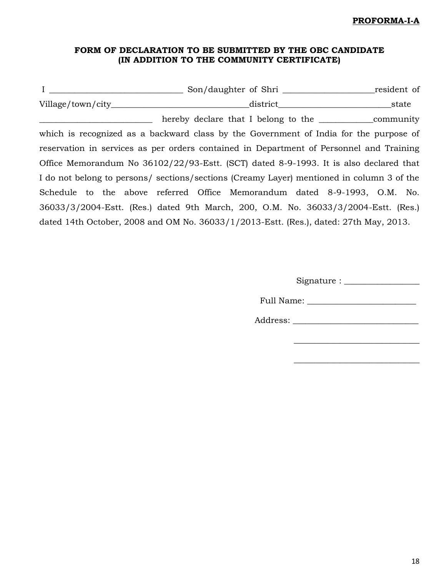## **PROFORMA-I-A**

# **FORM OF DECLARATION TO BE SUBMITTED BY THE OBC CANDIDATE (IN ADDITION TO THE COMMUNITY CERTIFICATE)**

| $\mathbf{I}$ | Son/daughter of Shri                                                                      | resident of |
|--------------|-------------------------------------------------------------------------------------------|-------------|
|              | district                                                                                  | state       |
|              | hereby declare that I belong to the <u>community</u>                                      |             |
|              | which is recognized as a backward class by the Government of India for the purpose of     |             |
|              | reservation in services as per orders contained in Department of Personnel and Training   |             |
|              | Office Memorandum No 36102/22/93-Estt. (SCT) dated 8-9-1993. It is also declared that     |             |
|              | I do not belong to persons/ sections/sections (Creamy Layer) mentioned in column 3 of the |             |
|              | Schedule to the above referred Office Memorandum dated 8-9-1993, O.M. No.                 |             |
|              | 36033/3/2004-Estt. (Res.) dated 9th March, 200, O.M. No. 36033/3/2004-Estt. (Res.)        |             |
|              | dated 14th October, 2008 and OM No. $36033/1/2013$ -Estt. (Res.), dated: 27th May, 2013.  |             |

\_\_\_\_\_\_\_\_\_\_\_\_\_\_\_\_\_\_\_\_\_\_\_\_\_\_\_\_\_\_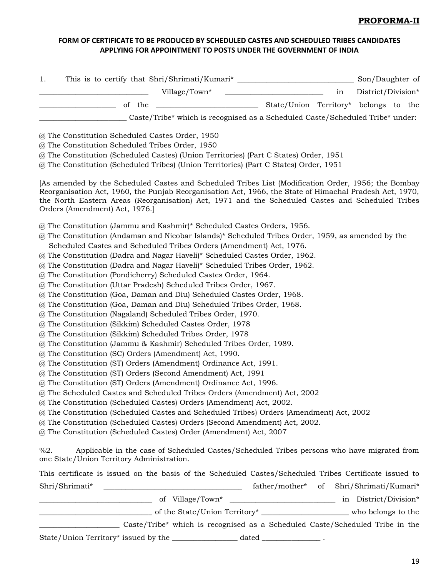## **PROFORMA-II**

## **FORM OF CERTIFICATE TO BE PRODUCED BY SCHEDULED CASTES AND SCHEDULED TRIBES CANDIDATES APPLYING FOR APPOINTMENT TO POSTS UNDER THE GOVERNMENT OF INDIA**

| This is to certify that Shri/Shrimati/Kumari* ___________________________________<br>1.                                                                                                                                                                                                                                                              |    | Son/Daughter of    |
|------------------------------------------------------------------------------------------------------------------------------------------------------------------------------------------------------------------------------------------------------------------------------------------------------------------------------------------------------|----|--------------------|
| Village/Town*                                                                                                                                                                                                                                                                                                                                        | in | District/Division* |
| State/Union Territory* belongs to the<br>of the<br><u> 1989 - Johann Barbara, martin amerikan per</u>                                                                                                                                                                                                                                                |    |                    |
| Caste/Tribe* which is recognised as a Scheduled Caste/Scheduled Tribe* under:                                                                                                                                                                                                                                                                        |    |                    |
| @ The Constitution Scheduled Castes Order, 1950                                                                                                                                                                                                                                                                                                      |    |                    |
| @ The Constitution Scheduled Tribes Order, 1950                                                                                                                                                                                                                                                                                                      |    |                    |
| @ The Constitution (Scheduled Castes) (Union Territories) (Part C States) Order, 1951<br>@ The Constitution (Scheduled Tribes) (Union Territories) (Part C States) Order, 1951                                                                                                                                                                       |    |                    |
| [As amended by the Scheduled Castes and Scheduled Tribes List (Modification Order, 1956; the Bombay<br>Reorganisation Act, 1960, the Punjab Reorganisation Act, 1966, the State of Himachal Pradesh Act, 1970,<br>the North Eastern Areas (Reorganisation) Act, 1971 and the Scheduled Castes and Scheduled Tribes<br>Orders (Amendment) Act, 1976.] |    |                    |
| @ The Constitution (Jammu and Kashmir)* Scheduled Castes Orders, 1956.                                                                                                                                                                                                                                                                               |    |                    |
| @ The Constitution (Andaman and Nicobar Islands)* Scheduled Tribes Order, 1959, as amended by the<br>Scheduled Castes and Scheduled Tribes Orders (Amendment) Act, 1976.                                                                                                                                                                             |    |                    |
| @ The Constitution (Dadra and Nagar Haveli)* Scheduled Castes Order, 1962.                                                                                                                                                                                                                                                                           |    |                    |
| @ The Constitution (Dadra and Nagar Haveli)* Scheduled Tribes Order, 1962.                                                                                                                                                                                                                                                                           |    |                    |
| @ The Constitution (Pondicherry) Scheduled Castes Order, 1964.                                                                                                                                                                                                                                                                                       |    |                    |
| @ The Constitution (Uttar Pradesh) Scheduled Tribes Order, 1967.                                                                                                                                                                                                                                                                                     |    |                    |
| @ The Constitution (Goa, Daman and Diu) Scheduled Castes Order, 1968.                                                                                                                                                                                                                                                                                |    |                    |
| @ The Constitution (Goa, Daman and Diu) Scheduled Tribes Order, 1968.                                                                                                                                                                                                                                                                                |    |                    |
| @ The Constitution (Nagaland) Scheduled Tribes Order, 1970.                                                                                                                                                                                                                                                                                          |    |                    |
| @ The Constitution (Sikkim) Scheduled Castes Order, 1978                                                                                                                                                                                                                                                                                             |    |                    |
| @ The Constitution (Sikkim) Scheduled Tribes Order, 1978                                                                                                                                                                                                                                                                                             |    |                    |
| @ The Constitution (Jammu & Kashmir) Scheduled Tribes Order, 1989.                                                                                                                                                                                                                                                                                   |    |                    |
| @ The Constitution (SC) Orders (Amendment) Act, 1990.                                                                                                                                                                                                                                                                                                |    |                    |
| @ The Constitution (ST) Orders (Amendment) Ordinance Act, 1991.                                                                                                                                                                                                                                                                                      |    |                    |
| @ The Constitution (ST) Orders (Second Amendment) Act, 1991                                                                                                                                                                                                                                                                                          |    |                    |
| @ The Constitution (ST) Orders (Amendment) Ordinance Act, 1996.                                                                                                                                                                                                                                                                                      |    |                    |
| @ The Scheduled Castes and Scheduled Tribes Orders (Amendment) Act, 2002                                                                                                                                                                                                                                                                             |    |                    |
| @ The Constitution (Scheduled Castes) Orders (Amendment) Act, 2002.                                                                                                                                                                                                                                                                                  |    |                    |
| @ The Constitution (Scheduled Castes and Scheduled Tribes) Orders (Amendment) Act, 2002<br>@ The Constitution (Scheduled Castes) Orders (Second Amendment) Act, 2002.                                                                                                                                                                                |    |                    |
| @ The Constitution (Scheduled Castes) Order (Amendment) Act, 2007                                                                                                                                                                                                                                                                                    |    |                    |
|                                                                                                                                                                                                                                                                                                                                                      |    |                    |
| %2.<br>Applicable in the case of Scheduled Castes/Scheduled Tribes persons who have migrated from<br>one State/Union Territory Administration.                                                                                                                                                                                                       |    |                    |
| This certificate is issued on the basis of the Scheduled Castes/Scheduled Tribes Certificate issued to                                                                                                                                                                                                                                               |    |                    |
|                                                                                                                                                                                                                                                                                                                                                      |    |                    |
| 1 District/Division* 1 District/Division* 1 District/Division*                                                                                                                                                                                                                                                                                       |    |                    |
|                                                                                                                                                                                                                                                                                                                                                      |    |                    |
| Caste/Tribe* which is recognised as a Scheduled Caste/Scheduled Tribe in the                                                                                                                                                                                                                                                                         |    |                    |

State/Union Territory\* issued by the \_\_\_\_\_\_\_\_\_\_\_\_\_\_\_\_ dated \_\_\_\_\_\_\_\_\_\_\_\_\_\_\_\_\_\_ .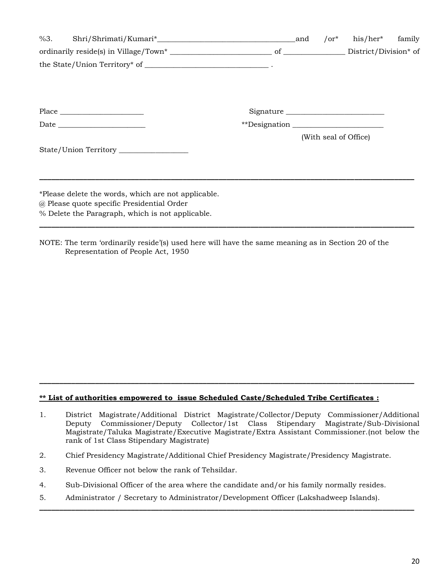|                                                     |  | $\sigma^*$ | his/her* family       |  |
|-----------------------------------------------------|--|------------|-----------------------|--|
|                                                     |  |            |                       |  |
|                                                     |  |            |                       |  |
|                                                     |  |            |                       |  |
|                                                     |  |            | Signature             |  |
|                                                     |  |            |                       |  |
|                                                     |  |            | (With seal of Office) |  |
| State/Union Territory _________________             |  |            |                       |  |
|                                                     |  |            |                       |  |
| *Please delete the words, which are not applicable. |  |            |                       |  |
| @ Please quote specific Presidential Order          |  |            |                       |  |
| % Delete the Paragraph, which is not applicable.    |  |            |                       |  |

NOTE: The term "ordinarily reside"(s) used here will have the same meaning as in Section 20 of the Representation of People Act, 1950

#### **\*\* List of authorities empowered to issue Scheduled Caste/Scheduled Tribe Certificates :**

1. District Magistrate/Additional District Magistrate/Collector/Deputy Commissioner/Additional Deputy Commissioner/Deputy Collector/1st Class Stipendary Magistrate/Sub-Divisional Magistrate/Taluka Magistrate/Executive Magistrate/Extra Assistant Commissioner.(not below the rank of 1st Class Stipendary Magistrate)

**\_\_\_\_\_\_\_\_\_\_\_\_\_\_\_\_\_\_\_\_\_\_\_\_\_\_\_\_\_\_\_\_\_\_\_\_\_\_\_\_\_\_\_\_\_\_\_\_\_\_\_\_\_\_\_\_\_\_\_\_\_\_\_\_\_\_\_\_\_\_\_\_\_\_\_\_\_\_\_\_\_\_\_\_\_\_\_\_\_\_\_\_\_\_**

**\_\_\_\_\_\_\_\_\_\_\_\_\_\_\_\_\_\_\_\_\_\_\_\_\_\_\_\_\_\_\_\_\_\_\_\_\_\_\_\_\_\_\_\_\_\_\_\_\_\_\_\_\_\_\_\_\_\_\_\_\_\_\_\_\_\_\_\_\_\_\_\_\_\_\_\_\_\_\_\_\_\_\_\_\_\_\_\_\_\_\_\_\_\_**

- 2. Chief Presidency Magistrate/Additional Chief Presidency Magistrate/Presidency Magistrate.
- 3. Revenue Officer not below the rank of Tehsildar.
- 4. Sub-Divisional Officer of the area where the candidate and/or his family normally resides.
- 5. Administrator / Secretary to Administrator/Development Officer (Lakshadweep Islands).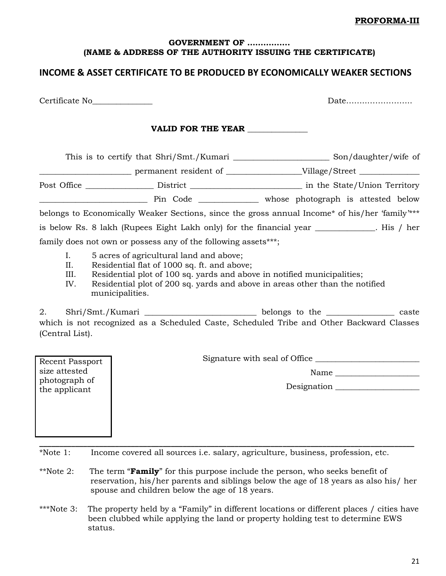#### **PROFORMA-III**

### **GOVERNMENT OF ……………. (NAME & ADDRESS OF THE AUTHORITY ISSUING THE CERTIFICATE)**

# **INCOME & ASSET CERTIFICATE TO BE PRODUCED BY ECONOMICALLY WEAKER SECTIONS**

Certificate No\_\_\_\_\_\_\_\_\_\_\_\_\_\_\_ Date……..……………..

Recent Passport size attested photograph of the applicant

### VALID FOR THE YEAR

This is to certify that Shri/Smt./Kumari \_\_\_\_\_\_\_\_\_\_\_\_\_\_\_\_\_\_\_\_\_\_\_\_ Son/daughter/wife of

\_\_\_\_\_\_\_\_\_\_\_\_\_\_\_\_\_\_\_\_\_\_\_ permanent resident of \_\_\_\_\_\_\_\_\_\_\_\_\_\_\_\_\_\_\_Village/Street \_\_\_\_\_\_\_\_\_\_\_\_\_\_\_

Post Office \_\_\_\_\_\_\_\_\_\_\_\_\_\_\_\_\_ District \_\_\_\_\_\_\_\_\_\_\_\_\_\_\_\_\_\_\_\_\_\_\_\_\_\_\_\_ in the State/Union Territory

\_\_\_\_\_\_\_\_\_\_\_\_\_\_\_\_\_\_\_\_\_\_\_\_\_\_\_ Pin Code \_\_\_\_\_\_\_\_\_\_\_\_\_\_\_ whose photograph is attested below

belongs to Economically Weaker Sections, since the gross annual Income\* of his/her "family"\*\*\* is below Rs. 8 lakh (Rupees Eight Lakh only) for the financial year \_\_\_\_\_\_\_\_\_\_\_\_\_\_\_. His / her

family does not own or possess any of the following assets\*\*\*;

- I. 5 acres of agricultural land and above;
- II. Residential flat of 1000 sq. ft. and above;
- III. Residential plot of 100 sq. yards and above in notified municipalities;
- IV. Residential plot of 200 sq. yards and above in areas other than the notified municipalities.

2. Shri/Smt./Kumari \_\_\_\_\_\_\_\_\_\_\_\_\_\_\_\_\_\_\_\_\_\_\_\_\_\_\_\_\_\_\_\_ belongs to the \_\_\_\_\_\_\_\_\_\_\_\_\_\_\_\_\_\_\_\_ caste which is not recognized as a Scheduled Caste, Scheduled Tribe and Other Backward Classes (Central List).

Signature with seal of Office \_\_\_\_\_\_\_\_\_\_\_\_\_\_\_\_\_\_\_\_\_\_\_\_\_\_

Name  $\Box$ 

Designation \_\_\_\_\_\_\_\_\_\_\_\_\_\_\_\_\_\_\_\_\_

**\_\_\_\_\_\_\_\_\_\_\_\_\_\_\_\_\_\_\_\_\_\_\_\_\_\_\_\_\_\_\_\_\_\_\_\_\_\_\_\_\_\_\_\_\_\_\_\_\_\_\_\_\_\_\_\_\_\_\_\_\_\_\_\_\_\_\_\_\_\_\_\_\_\_\_\_\_\_\_\_\_\_\_\_\_\_\_\_\_\_\_\_\_\_** \*Note 1: Income covered all sources i.e. salary, agriculture, business, profession, etc.

- \*\*Note 2: The term "**Family**" for this purpose include the person, who seeks benefit of reservation, his/her parents and siblings below the age of 18 years as also his/ her spouse and children below the age of 18 years.
- \*\*\*Note 3: The property held by a "Family" in different locations or different places / cities have been clubbed while applying the land or property holding test to determine EWS status.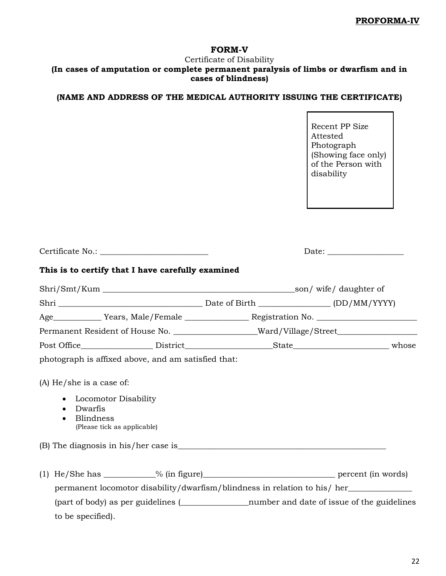## **FORM-V**

### Certificate of Disability **(In cases of amputation or complete permanent paralysis of limbs or dwarfism and in cases of blindness)**

# **(NAME AND ADDRESS OF THE MEDICAL AUTHORITY ISSUING THE CERTIFICATE)**

|                                                                               |                                                                                        | Recent PP Size<br>Attested<br>Photograph<br>(Showing face only)<br>of the Person with<br>disability |
|-------------------------------------------------------------------------------|----------------------------------------------------------------------------------------|-----------------------------------------------------------------------------------------------------|
|                                                                               |                                                                                        |                                                                                                     |
|                                                                               | This is to certify that I have carefully examined                                      |                                                                                                     |
|                                                                               | Shri/Smt/Kum son/wife/daughter of                                                      |                                                                                                     |
|                                                                               |                                                                                        |                                                                                                     |
|                                                                               |                                                                                        |                                                                                                     |
|                                                                               | Permanent Resident of House No. _________________Ward/Village/Street_____________      |                                                                                                     |
|                                                                               |                                                                                        |                                                                                                     |
|                                                                               | photograph is affixed above, and am satisfied that:                                    |                                                                                                     |
| $(A)$ He/she is a case of:                                                    |                                                                                        |                                                                                                     |
| Locomotor Disability<br>$\bullet$<br>Dwarfis<br>$\bullet$<br><b>Blindness</b> | (Please tick as applicable)                                                            |                                                                                                     |
| (B) The diagnosis in his/her case is                                          |                                                                                        |                                                                                                     |
|                                                                               |                                                                                        |                                                                                                     |
|                                                                               | permanent locomotor disability/dwarfism/blindness in relation to his/ her_____________ |                                                                                                     |
|                                                                               |                                                                                        |                                                                                                     |

to be specified).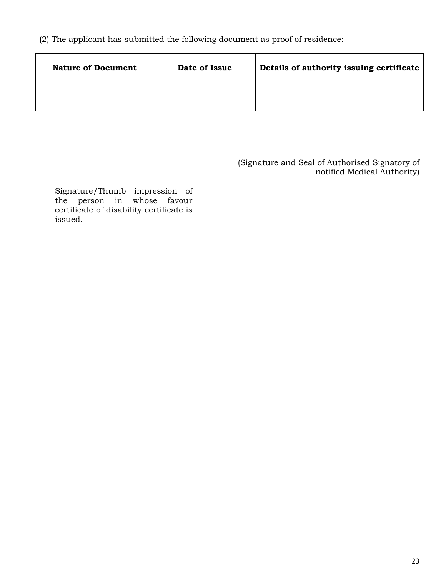(2) The applicant has submitted the following document as proof of residence:

| <b>Nature of Document</b> | Date of Issue | Details of authority issuing certificate |
|---------------------------|---------------|------------------------------------------|
|                           |               |                                          |

(Signature and Seal of Authorised Signatory of notified Medical Authority)

|                                          | Signature/Thumb impression of |  |  |  |  |  |  |
|------------------------------------------|-------------------------------|--|--|--|--|--|--|
|                                          | the person in whose favour    |  |  |  |  |  |  |
| certificate of disability certificate is |                               |  |  |  |  |  |  |
| issued.                                  |                               |  |  |  |  |  |  |
|                                          |                               |  |  |  |  |  |  |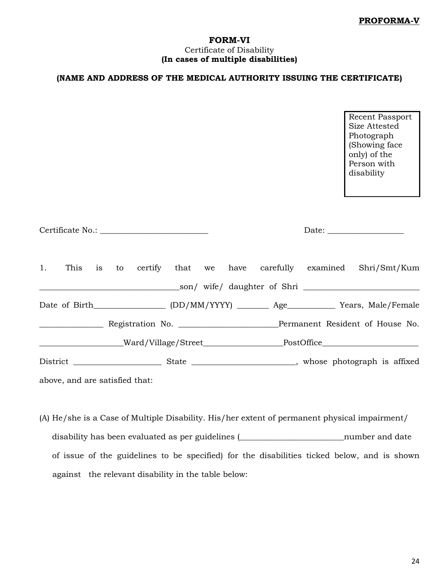### **FORM-VI** Certificate of Disability **(In cases of multiple disabilities)**

## **(NAME AND ADDRESS OF THE MEDICAL AUTHORITY ISSUING THE CERTIFICATE)**

Recent Passport Size Attested Photograph (Showing face only) of the Person with disability

|                                |  |  |  |  | 1. This is to certify that we have carefully examined Shri/Smt/Kum                                   |
|--------------------------------|--|--|--|--|------------------------------------------------------------------------------------------------------|
|                                |  |  |  |  |                                                                                                      |
|                                |  |  |  |  | Date of Birth_________________ (DD/MM/YYYY) _________ Age_____________ Years, Male/Female            |
|                                |  |  |  |  |                                                                                                      |
|                                |  |  |  |  | _______________________Ward/Village/Street_______________________PostOffice_________________________ |
|                                |  |  |  |  |                                                                                                      |
| above, and are satisfied that: |  |  |  |  |                                                                                                      |

(A) He/she is a Case of Multiple Disability. His/her extent of permanent physical impairment/ disability has been evaluated as per guidelines (\_\_\_\_\_\_\_\_\_\_\_\_\_\_\_\_\_\_\_\_\_\_\_\_\_\_number and date of issue of the guidelines to be specified) for the disabilities ticked below, and is shown against the relevant disability in the table below: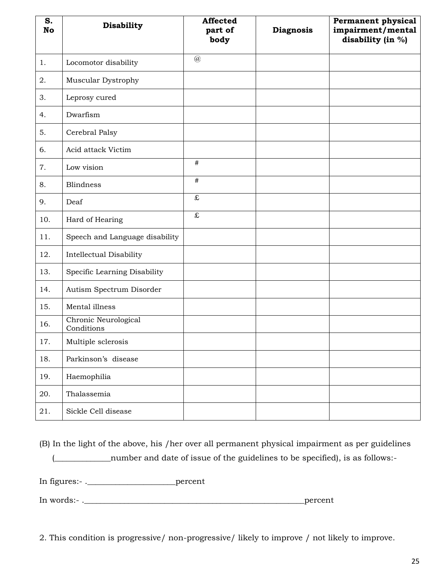| S.<br><b>No</b> | <b>Disability</b>                  | <b>Affected</b><br>part of<br>body | <b>Diagnosis</b> | Permanent physical<br>impairment/mental<br>disability (in %) |
|-----------------|------------------------------------|------------------------------------|------------------|--------------------------------------------------------------|
| 1.              | Locomotor disability               | $\omega$                           |                  |                                                              |
| 2.              | Muscular Dystrophy                 |                                    |                  |                                                              |
| 3.              | Leprosy cured                      |                                    |                  |                                                              |
| 4.              | Dwarfism                           |                                    |                  |                                                              |
| 5.              | Cerebral Palsy                     |                                    |                  |                                                              |
| 6.              | Acid attack Victim                 |                                    |                  |                                                              |
| 7.              | Low vision                         | $\#$                               |                  |                                                              |
| 8.              | <b>Blindness</b>                   | #                                  |                  |                                                              |
| 9.              | Deaf                               | £                                  |                  |                                                              |
| 10.             | Hard of Hearing                    | $\pounds$                          |                  |                                                              |
| 11.             | Speech and Language disability     |                                    |                  |                                                              |
| 12.             | <b>Intellectual Disability</b>     |                                    |                  |                                                              |
| 13.             | Specific Learning Disability       |                                    |                  |                                                              |
| 14.             | Autism Spectrum Disorder           |                                    |                  |                                                              |
| 15.             | Mental illness                     |                                    |                  |                                                              |
| 16.             | Chronic Neurological<br>Conditions |                                    |                  |                                                              |
| 17.             | Multiple sclerosis                 |                                    |                  |                                                              |
| 18.             | Parkinson's disease                |                                    |                  |                                                              |
| 19.             | Haemophilia                        |                                    |                  |                                                              |
| 20.             | Thalassemia                        |                                    |                  |                                                              |
| 21.             | Sickle Cell disease                |                                    |                  |                                                              |

(B) In the light of the above, his /her over all permanent physical impairment as per guidelines (\_\_\_\_\_\_\_\_\_\_\_\_\_\_number and date of issue of the guidelines to be specified), is as follows:- In figures:- .\_\_\_\_\_\_\_\_\_\_\_\_\_\_\_\_\_\_\_\_\_\_percent

In words:- .\_\_\_\_\_\_\_\_\_\_\_\_\_\_\_\_\_\_\_\_\_\_\_\_\_\_\_\_\_\_\_\_\_\_\_\_\_\_\_\_\_\_\_\_\_\_\_\_\_\_\_\_\_\_\_percent

2. This condition is progressive/ non-progressive/ likely to improve / not likely to improve.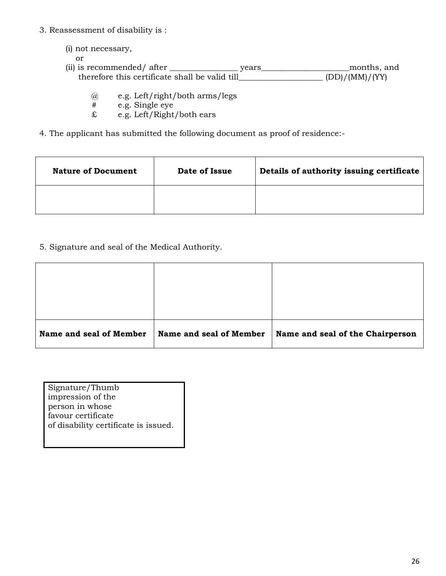- 3. Reassessment of disability is :
	- (i) not necessary, or (ii) is recommended/ after \_\_\_\_\_\_\_\_\_\_\_\_\_\_\_\_\_ years\_\_\_\_\_\_\_\_\_\_\_\_\_\_\_\_\_\_\_\_\_\_months, and therefore this certificate shall be valid till\_\_\_\_\_\_\_\_\_\_\_\_\_\_\_\_\_\_\_\_\_ (DD)/(MM)/(YY)
		- @ e.g. Left/right/both arms/legs
		- e.g. Single eye
		- £ e.g. Left/Right/both ears
- 4. The applicant has submitted the following document as proof of residence:-

| <b>Nature of Document</b> | Date of Issue | Details of authority issuing certificate |
|---------------------------|---------------|------------------------------------------|
|                           |               |                                          |

5. Signature and seal of the Medical Authority.

| Name and seal of Member | Name and seal of Member | Name and seal of the Chairperson |
|-------------------------|-------------------------|----------------------------------|

| Signature/Thumb                      |
|--------------------------------------|
| impression of the                    |
| person in whose                      |
| favour certificate                   |
| of disability certificate is issued. |
|                                      |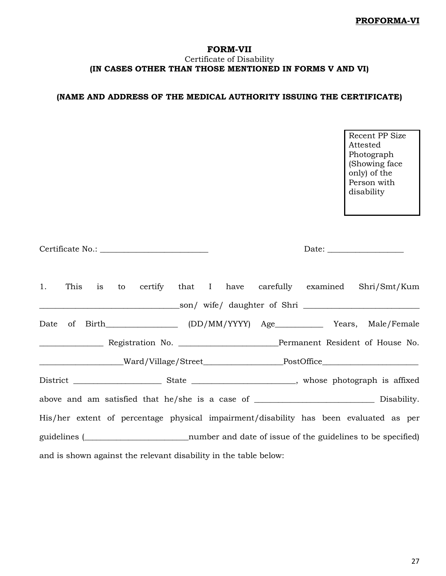### **FORM-VII** Certificate of Disability **(IN CASES OTHER THAN THOSE MENTIONED IN FORMS V AND VI)**

# **(NAME AND ADDRESS OF THE MEDICAL AUTHORITY ISSUING THE CERTIFICATE)**

Recent PP Size Attested Photograph (Showing face only) of the Person with disability

|  |  |                                                                  |  |  | 1. This is to certify that I have carefully examined Shri/Smt/Kum                                    |
|--|--|------------------------------------------------------------------|--|--|------------------------------------------------------------------------------------------------------|
|  |  |                                                                  |  |  |                                                                                                      |
|  |  |                                                                  |  |  |                                                                                                      |
|  |  |                                                                  |  |  |                                                                                                      |
|  |  |                                                                  |  |  | _______________________Ward/Village/Street_______________________PostOffice_________________________ |
|  |  |                                                                  |  |  |                                                                                                      |
|  |  |                                                                  |  |  | above and am satisfied that he/she is a case of ________________________________ Disability.         |
|  |  |                                                                  |  |  | His/her extent of percentage physical impairment/disability has been evaluated as per                |
|  |  |                                                                  |  |  | guidelines ( <i>widelines</i> ( <i>widelines</i> ( <i>widelines</i> to be specified)                 |
|  |  | and is shown against the relevant disability in the table below: |  |  |                                                                                                      |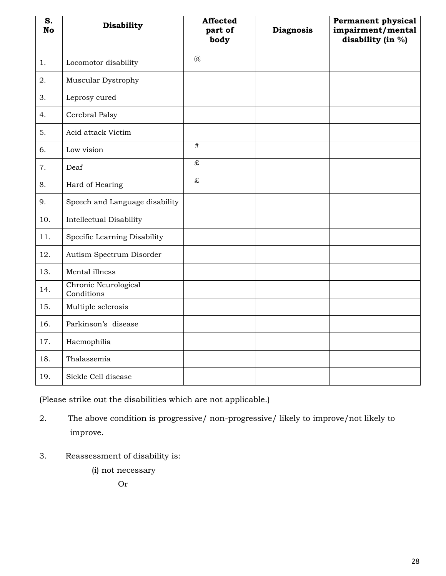| S.<br><b>No</b> | <b>Disability</b>                  | <b>Affected</b><br>part of<br>body | <b>Diagnosis</b> | Permanent physical<br>impairment/mental<br>disability (in %) |
|-----------------|------------------------------------|------------------------------------|------------------|--------------------------------------------------------------|
| 1.              | Locomotor disability               | $\overline{a}$                     |                  |                                                              |
| 2.              | Muscular Dystrophy                 |                                    |                  |                                                              |
| 3.              | Leprosy cured                      |                                    |                  |                                                              |
| 4.              | Cerebral Palsy                     |                                    |                  |                                                              |
| 5.              | Acid attack Victim                 |                                    |                  |                                                              |
| 6.              | Low vision                         | $\#$                               |                  |                                                              |
| 7.              | Deaf                               | $\overline{\mathbf{f}}$            |                  |                                                              |
| 8.              | Hard of Hearing                    | $\overline{\mathbf{f}}$            |                  |                                                              |
| 9.              | Speech and Language disability     |                                    |                  |                                                              |
| 10.             | <b>Intellectual Disability</b>     |                                    |                  |                                                              |
| 11.             | Specific Learning Disability       |                                    |                  |                                                              |
| 12.             | Autism Spectrum Disorder           |                                    |                  |                                                              |
| 13.             | Mental illness                     |                                    |                  |                                                              |
| 14.             | Chronic Neurological<br>Conditions |                                    |                  |                                                              |
| 15.             | Multiple sclerosis                 |                                    |                  |                                                              |
| 16.             | Parkinson's disease                |                                    |                  |                                                              |
| 17.             | Haemophilia                        |                                    |                  |                                                              |
| 18.             | Thalassemia                        |                                    |                  |                                                              |
| 19.             | Sickle Cell disease                |                                    |                  |                                                              |

(Please strike out the disabilities which are not applicable.)

2. The above condition is progressive/ non-progressive/ likely to improve/not likely to improve.

- 3. Reassessment of disability is:
	- (i) not necessary

Or